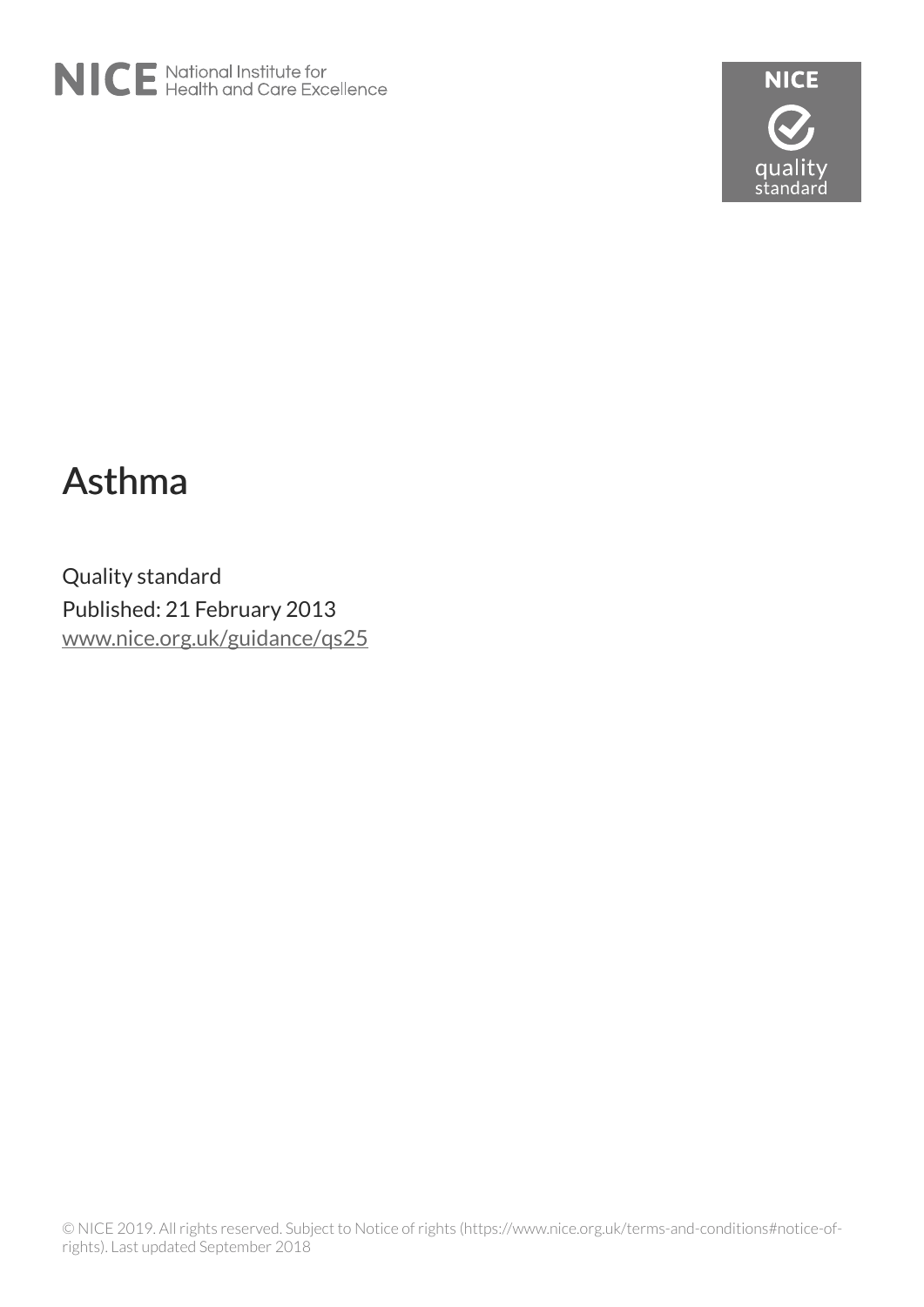



# Asthma

Quality standard Published: 21 February 2013 [www.nice.org.uk/guidance/qs25](https://www.nice.org.uk/guidance/qs25)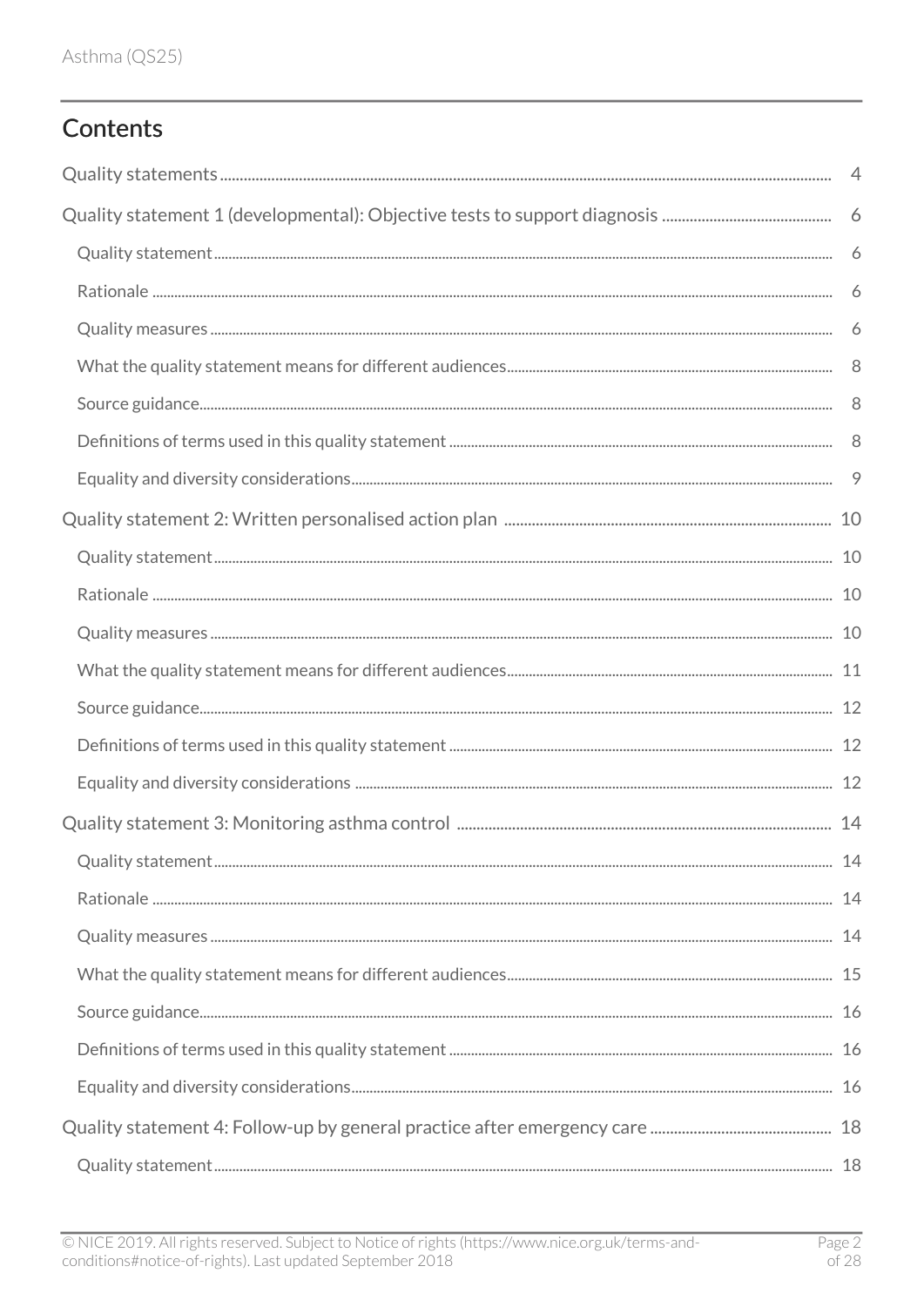# Contents

| $\overline{4}$ |
|----------------|
|                |
|                |
| 6              |
| 6              |
|                |
|                |
|                |
| - 9            |
|                |
|                |
|                |
|                |
|                |
|                |
|                |
|                |
|                |
|                |
|                |
|                |
|                |
|                |
|                |
|                |
|                |
|                |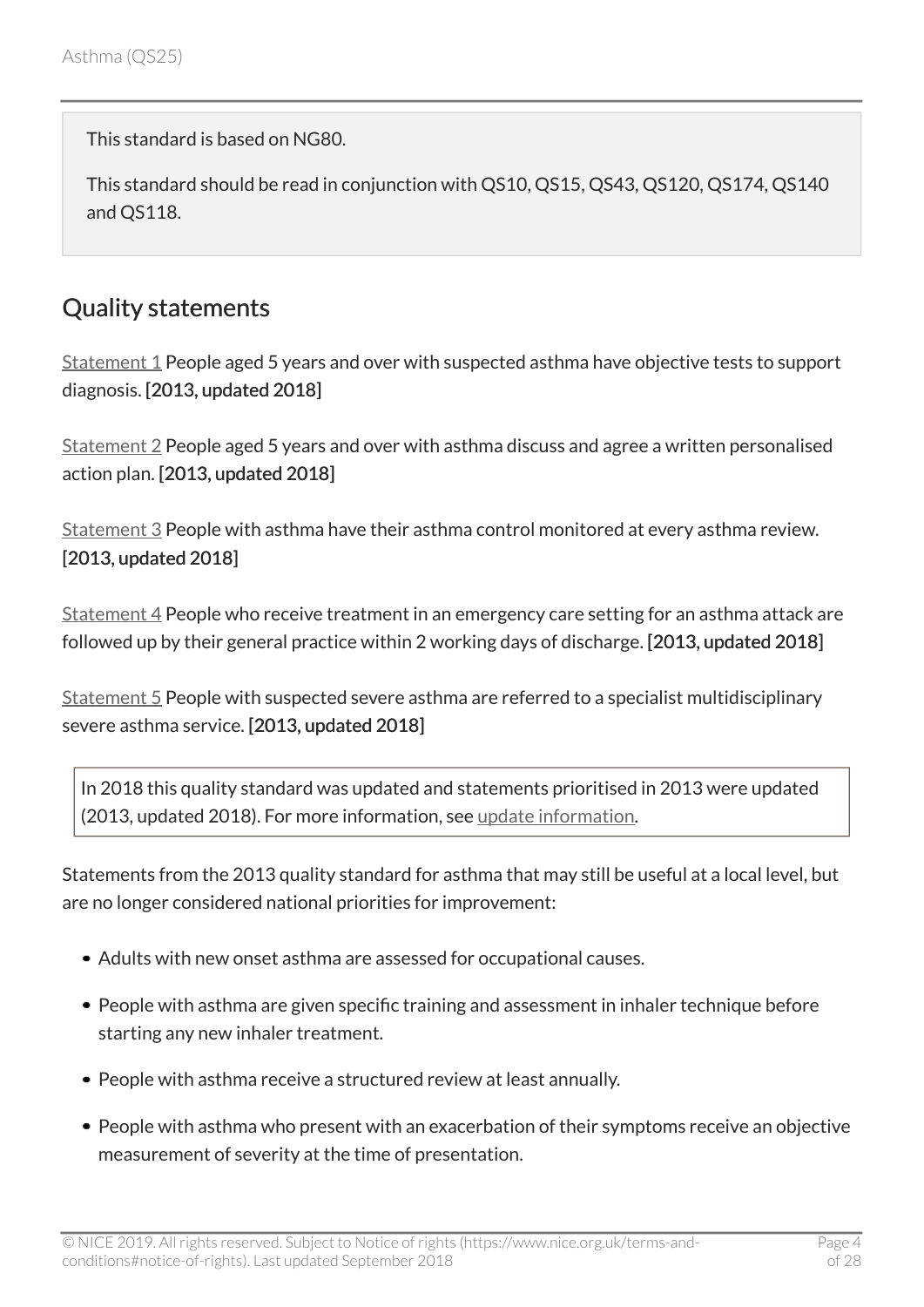This standard is based on NG80.

This standard should be read in conjunction with QS10, QS15, QS43, QS120, QS174, QS140 and QS118.

# <span id="page-3-0"></span>Quality statements

[Statement 1](#page-5-0) People aged 5 years and over with suspected asthma have objective tests to support diagnosis. [2013, updated 2018]

[Statement 2](#page-9-0) People aged 5 years and over with asthma discuss and agree a written personalised action plan. [2013, updated 2018]

[Statement 3](#page-13-0) People with asthma have their asthma control monitored at every asthma review. [2013, updated 2018]

[Statement 4](#page-17-0) People who receive treatment in an emergency care setting for an asthma attack are followed up by their general practice within 2 working days of discharge. [2013, updated 2018]

[Statement 5](#page-20-0) People with suspected severe asthma are referred to a specialist multidisciplinary severe asthma service. [2013, updated 2018]

In 2018 this quality standard was updated and statements prioritised in 2013 were updated (2013, updated 2018). For more information, see [update information](#page-24-0).

Statements from the 2013 quality standard for asthma that may still be useful at a local level, but are no longer considered national priorities for improvement:

- Adults with new onset asthma are assessed for occupational causes.
- People with asthma are given specific training and assessment in inhaler technique before starting any new inhaler treatment.
- People with asthma receive a structured review at least annually.
- People with asthma who present with an exacerbation of their symptoms receive an objective measurement of severity at the time of presentation.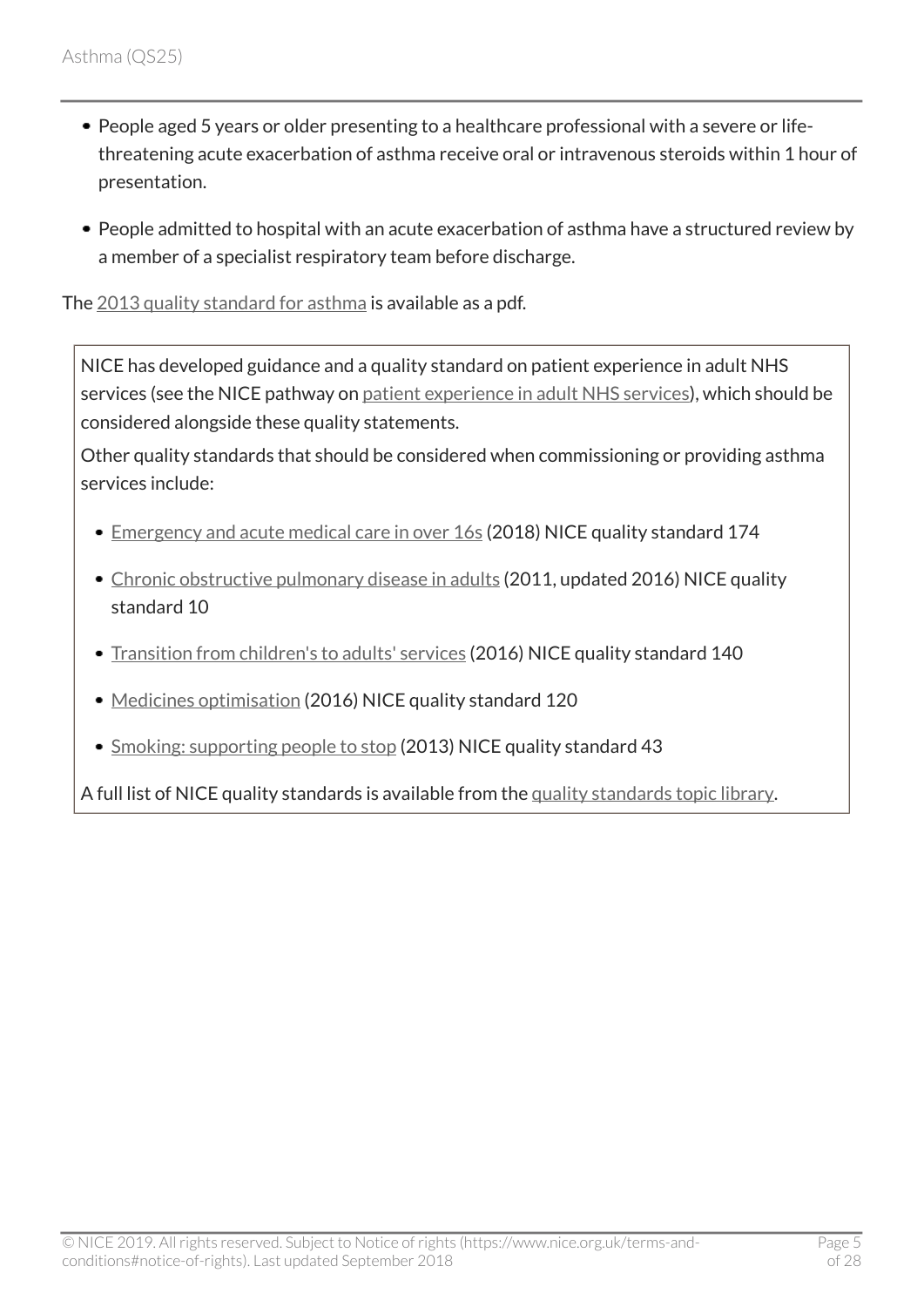- People aged 5 years or older presenting to a healthcare professional with a severe or lifethreatening acute exacerbation of asthma receive oral or intravenous steroids within 1 hour of presentation.
- People admitted to hospital with an acute exacerbation of asthma have a structured review by a member of a specialist respiratory team before discharge.

The [2013 quality standard for asthma](http://www.nice.org.uk/guidance/QS25/documents) is available as a pdf.

NICE has developed guidance and a quality standard on patient experience in adult NHS services (see the NICE pathway on [patient experience in adult NHS services](http://pathways.nice.org.uk/pathways/patient-experience-in-adult-nhs-services)), which should be considered alongside these quality statements.

Other quality standards that should be considered when commissioning or providing asthma services include:

- [Emergency and acute medical care in over](http://www.nice.org.uk/guidance/qs174) 16s (2018) NICE quality standard 174
- [Chronic obstructive pulmonary disease in adults](http://www.nice.org.uk/guidance/qs10) (2011, updated 2016) NICE quality standard 10
- [Transition from children's to adults' services](http://www.nice.org.uk/guidance/qs140) (2016) NICE quality standard 140
- [Medicines optimisation](http://www.nice.org.uk/guidance/qs120) (2016) NICE quality standard 120
- [Smoking: supporting people to stop](http://www.nice.org.uk/guidance/qs43) (2013) NICE quality standard 43

A full list of NICE quality standards is available from the [quality standards topic library.](http://www.nice.org.uk/Standards-and-Indicators/Developing-NICE-quality-standards-/Quality-standards-topic-library)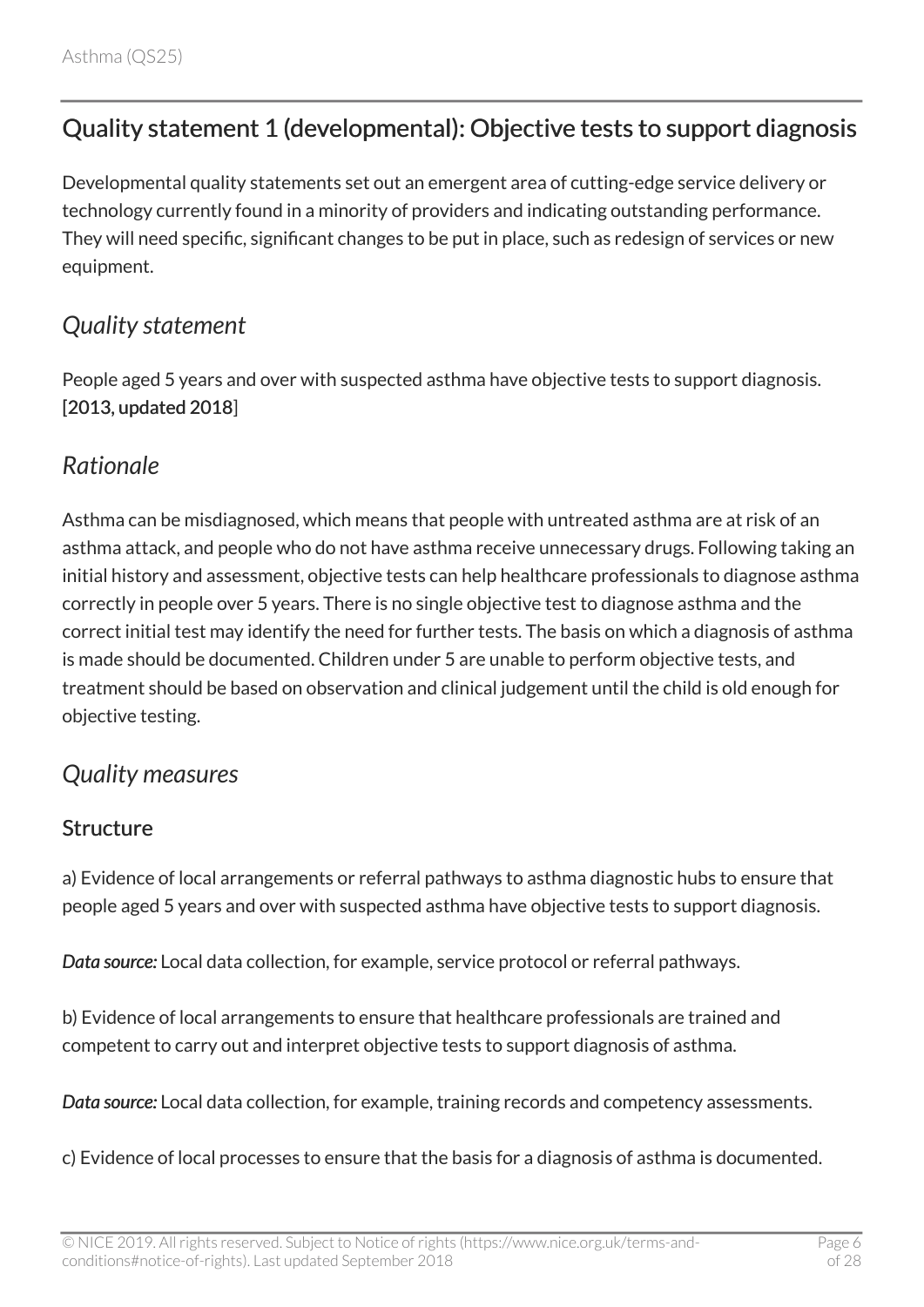# <span id="page-5-0"></span>Quality statement 1 (developmental): Objective tests to support diagnosis

Developmental quality statements set out an emergent area of cutting-edge service delivery or technology currently found in a minority of providers and indicating outstanding performance. They will need specific, significant changes to be put in place, such as redesign of services or new equipment.

### <span id="page-5-1"></span>*Quality statement*

People aged 5 years and over with suspected asthma have objective tests to support diagnosis. [2013, updated 2018]

#### <span id="page-5-2"></span>*Rationale*

Asthma can be misdiagnosed, which means that people with untreated asthma are at risk of an asthma attack, and people who do not have asthma receive unnecessary drugs. Following taking an initial history and assessment, objective tests can help healthcare professionals to diagnose asthma correctly in people over 5 years. There is no single objective test to diagnose asthma and the correct initial test may identify the need for further tests. The basis on which a diagnosis of asthma is made should be documented. Children under 5 are unable to perform objective tests, and treatment should be based on observation and clinical judgement until the child is old enough for objective testing.

### <span id="page-5-3"></span>*Quality measures*

#### **Structure**

a) Evidence of local arrangements or referral pathways to asthma diagnostic hubs to ensure that people aged 5 years and over with suspected asthma have objective tests to support diagnosis.

*Data source:* Local data collection, for example, service protocol or referral pathways.

b) Evidence of local arrangements to ensure that healthcare professionals are trained and competent to carry out and interpret objective tests to support diagnosis of asthma.

*Data source:* Local data collection, for example, training records and competency assessments.

c) Evidence of local processes to ensure that the basis for a diagnosis of asthma is documented.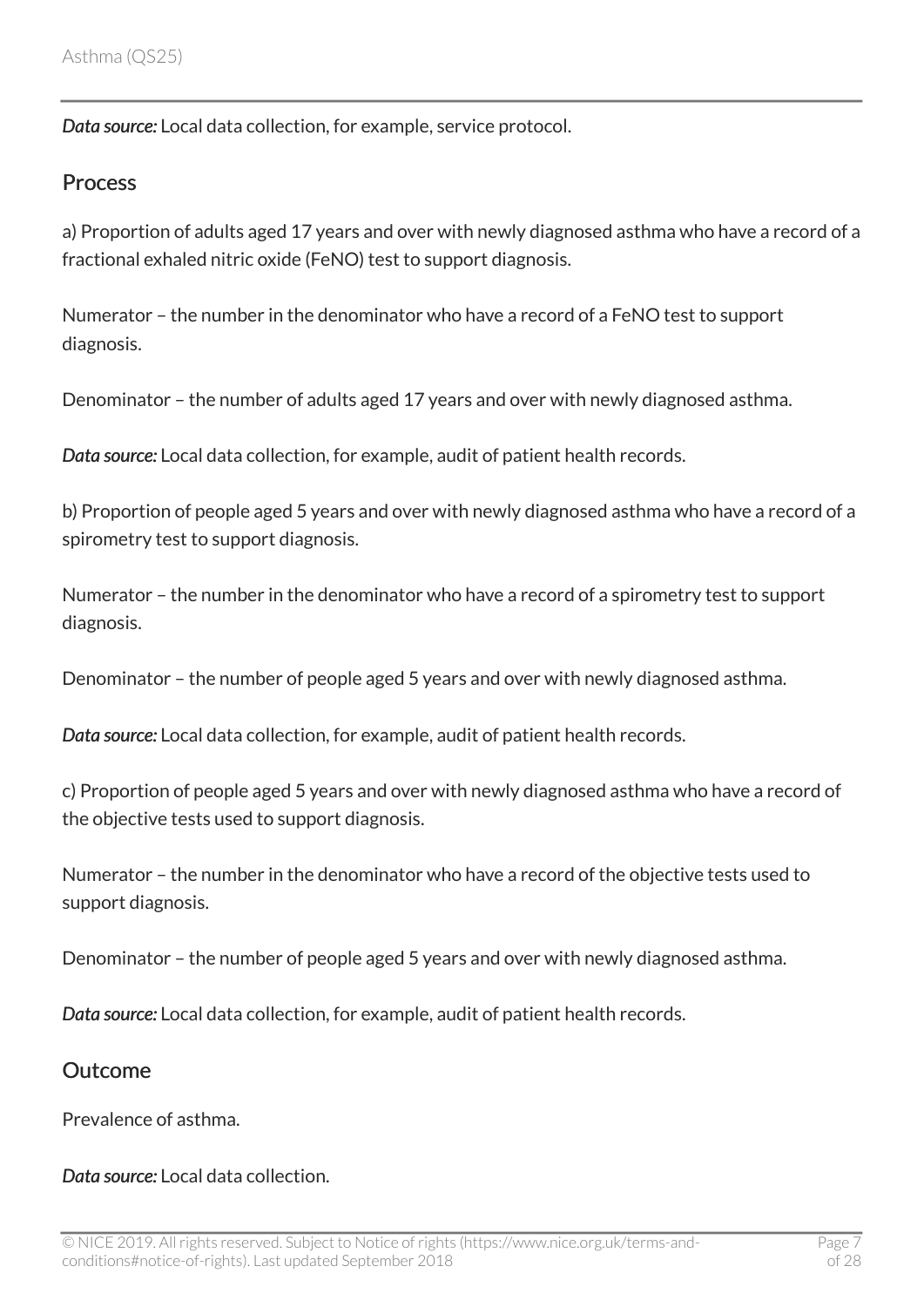*Data source:* Local data collection, for example, service protocol.

#### **Process**

a) Proportion of adults aged 17 years and over with newly diagnosed asthma who have a record of a fractional exhaled nitric oxide (FeNO) test to support diagnosis.

Numerator – the number in the denominator who have a record of a FeNO test to support diagnosis.

Denominator – the number of adults aged 17 years and over with newly diagnosed asthma.

*Data source:* Local data collection, for example, audit of patient health records.

b) Proportion of people aged 5 years and over with newly diagnosed asthma who have a record of a spirometry test to support diagnosis.

Numerator – the number in the denominator who have a record of a spirometry test to support diagnosis.

Denominator – the number of people aged 5 years and over with newly diagnosed asthma.

*Data source:* Local data collection, for example, audit of patient health records.

c) Proportion of people aged 5 years and over with newly diagnosed asthma who have a record of the objective tests used to support diagnosis.

Numerator – the number in the denominator who have a record of the objective tests used to support diagnosis.

Denominator – the number of people aged 5 years and over with newly diagnosed asthma.

*Data source:* Local data collection, for example, audit of patient health records.

#### **Outcome**

Prevalence of asthma.

*Data source:* Local data collection.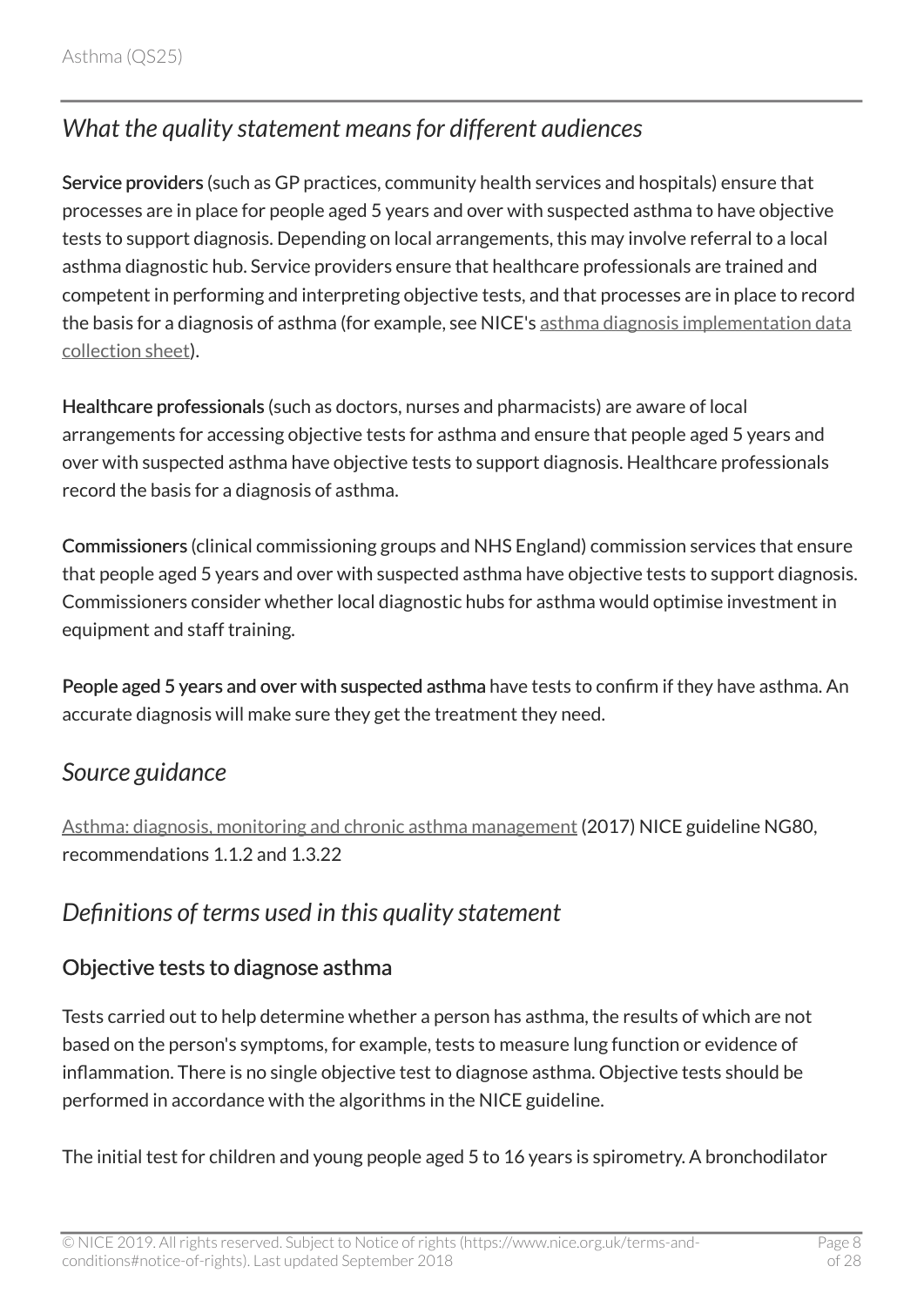# <span id="page-7-0"></span>*What the quality statement means for different audiences*

Service providers (such as GP practices, community health services and hospitals) ensure that processes are in place for people aged 5 years and over with suspected asthma to have objective tests to support diagnosis. Depending on local arrangements, this may involve referral to a local asthma diagnostic hub. Service providers ensure that healthcare professionals are trained and competent in performing and interpreting objective tests, and that processes are in place to record the basis for a diagnosis of asthma (for example, see NICE's [asthma diagnosis implementation data](https://www.nice.org.uk/guidance/ng80/resources) [collection sheet](https://www.nice.org.uk/guidance/ng80/resources)).

Healthcare professionals (such as doctors, nurses and pharmacists) are aware of local arrangements for accessing objective tests for asthma and ensure that people aged 5 years and over with suspected asthma have objective tests to support diagnosis. Healthcare professionals record the basis for a diagnosis of asthma.

Commissioners (clinical commissioning groups and NHS England) commission services that ensure that people aged 5 years and over with suspected asthma have objective tests to support diagnosis. Commissioners consider whether local diagnostic hubs for asthma would optimise investment in equipment and staff training.

People aged 5 years and over with suspected asthma have tests to confirm if they have asthma. An accurate diagnosis will make sure they get the treatment they need.

### <span id="page-7-1"></span>*Source guidance*

[Asthma: diagnosis, monitoring and chronic asthma management](http://www.nice.org.uk/guidance/ng80) (2017) NICE guideline NG80, recommendations 1.1.2 and 1.3.22

## <span id="page-7-2"></span>*Definitions of terms used in this quality statement*

#### Objective tests to diagnose asthma

Tests carried out to help determine whether a person has asthma, the results of which are not based on the person's symptoms, for example, tests to measure lung function or evidence of inflammation. There is no single objective test to diagnose asthma. Objective tests should be performed in accordance with the algorithms in the NICE guideline.

The initial test for children and young people aged 5 to 16 years is spirometry. A bronchodilator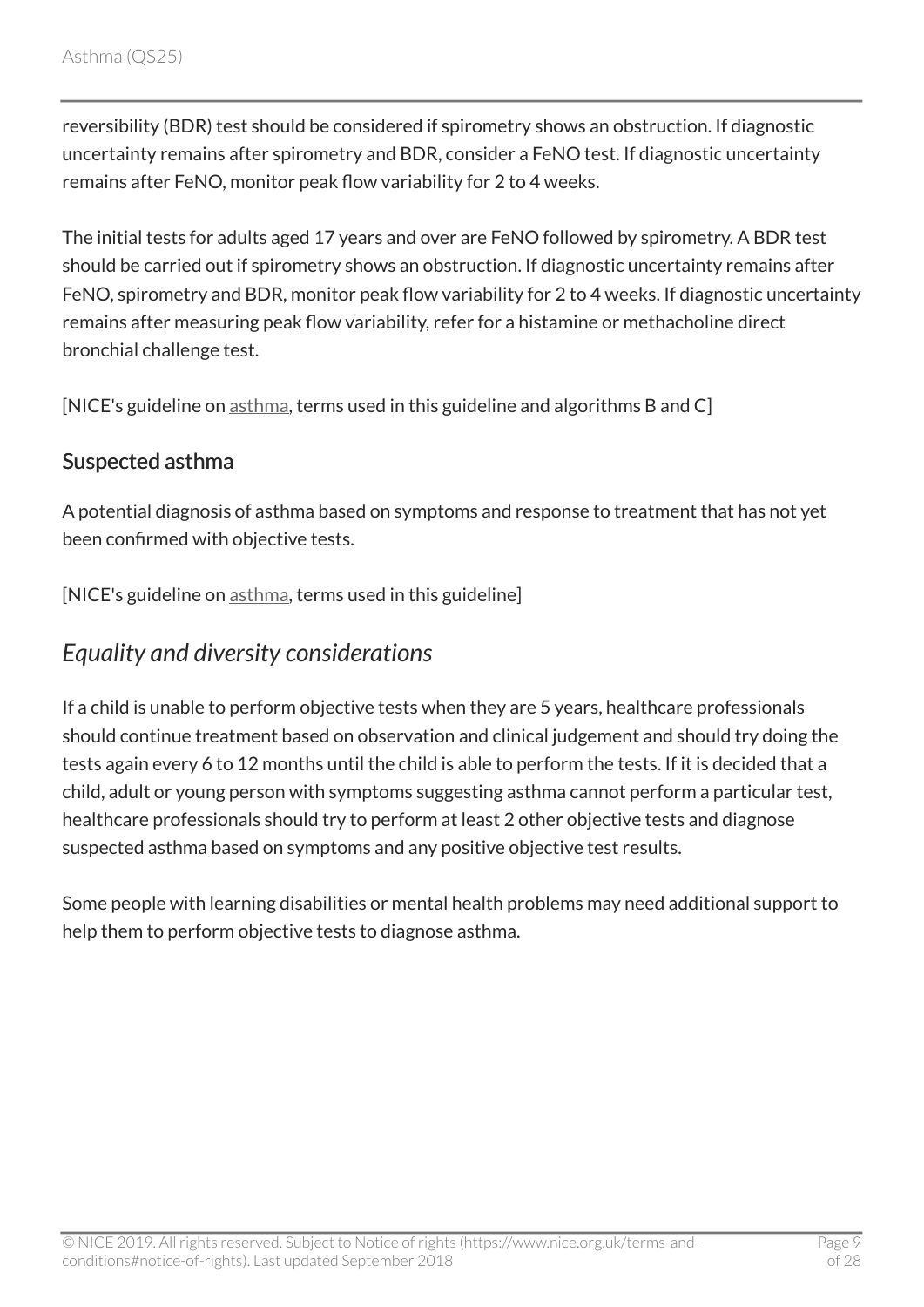reversibility (BDR) test should be considered if spirometry shows an obstruction. If diagnostic uncertainty remains after spirometry and BDR, consider a FeNO test. If diagnostic uncertainty remains after FeNO, monitor peak flow variability for 2 to 4 weeks.

The initial tests for adults aged 17 years and over are FeNO followed by spirometry. A BDR test should be carried out if spirometry shows an obstruction. If diagnostic uncertainty remains after FeNO, spirometry and BDR, monitor peak flow variability for 2 to 4 weeks. If diagnostic uncertainty remains after measuring peak flow variability, refer for a histamine or methacholine direct bronchial challenge test.

[NICE's guideline on [asthma](http://www.nice.org.uk/guidance/ng80), terms used in this guideline and algorithms B and C]

#### Suspected asthma

A potential diagnosis of asthma based on symptoms and response to treatment that has not yet been confirmed with objective tests.

[NICE's guideline on [asthma](http://www.nice.org.uk/guidance/ng80), terms used in this guideline]

#### <span id="page-8-0"></span>*Equality and diversity considerations*

If a child is unable to perform objective tests when they are 5 years, healthcare professionals should continue treatment based on observation and clinical judgement and should try doing the tests again every 6 to 12 months until the child is able to perform the tests. If it is decided that a child, adult or young person with symptoms suggesting asthma cannot perform a particular test, healthcare professionals should try to perform at least 2 other objective tests and diagnose suspected asthma based on symptoms and any positive objective test results.

Some people with learning disabilities or mental health problems may need additional support to help them to perform objective tests to diagnose asthma.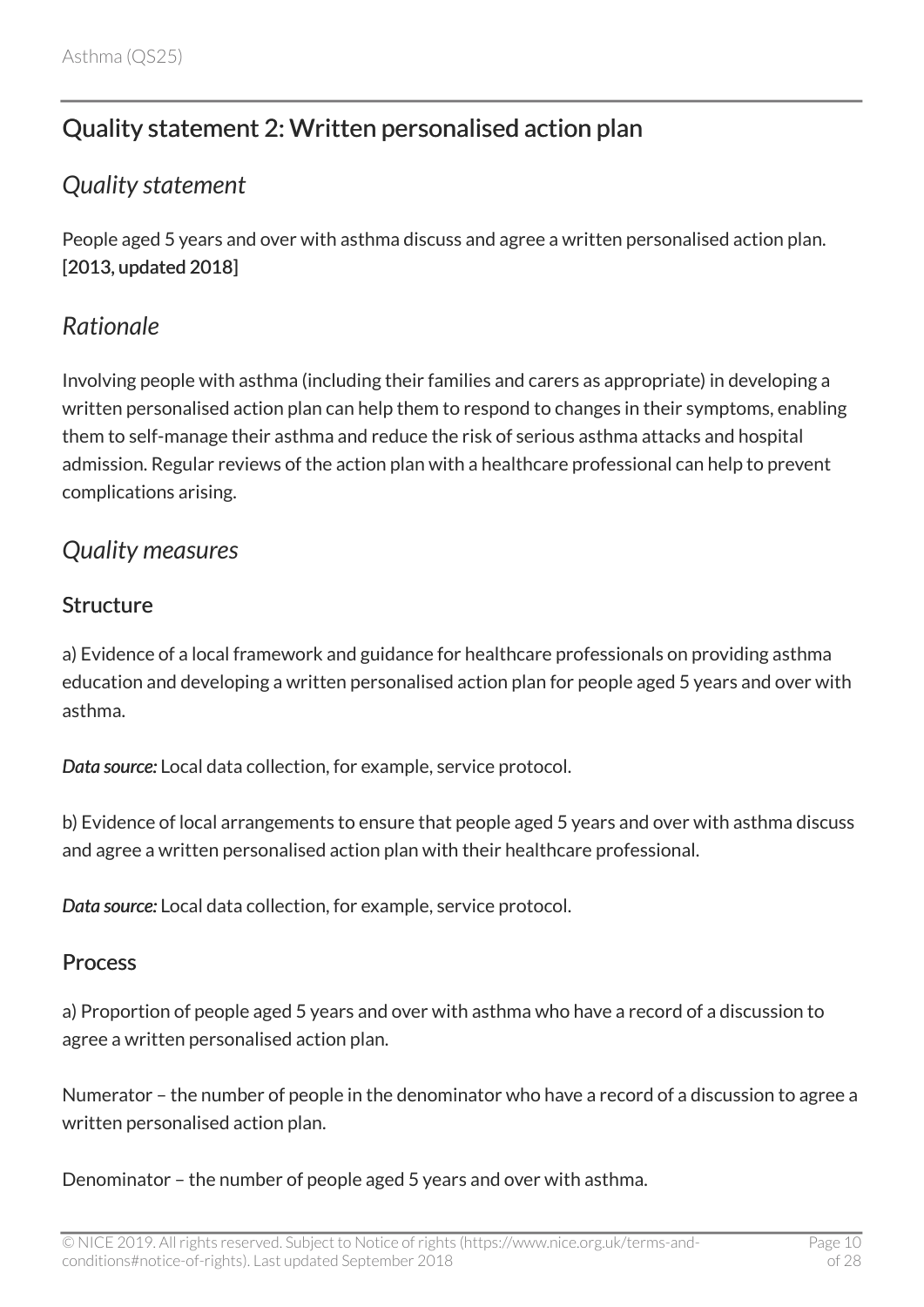# <span id="page-9-0"></span>Quality statement 2: Written personalised action plan

### <span id="page-9-1"></span>*Quality statement*

People aged 5 years and over with asthma discuss and agree a written personalised action plan. [2013, updated 2018]

#### <span id="page-9-2"></span>*Rationale*

Involving people with asthma (including their families and carers as appropriate) in developing a written personalised action plan can help them to respond to changes in their symptoms, enabling them to self-manage their asthma and reduce the risk of serious asthma attacks and hospital admission. Regular reviews of the action plan with a healthcare professional can help to prevent complications arising.

#### <span id="page-9-3"></span>*Quality measures*

#### Structure

a) Evidence of a local framework and guidance for healthcare professionals on providing asthma education and developing a written personalised action plan for people aged 5 years and over with asthma.

*Data source:* Local data collection, for example, service protocol.

b) Evidence of local arrangements to ensure that people aged 5 years and over with asthma discuss and agree a written personalised action plan with their healthcare professional.

*Data source:* Local data collection, for example, service protocol.

#### Process

a) Proportion of people aged 5 years and over with asthma who have a record of a discussion to agree a written personalised action plan.

Numerator – the number of people in the denominator who have a record of a discussion to agree a written personalised action plan.

Denominator – the number of people aged 5 years and over with asthma.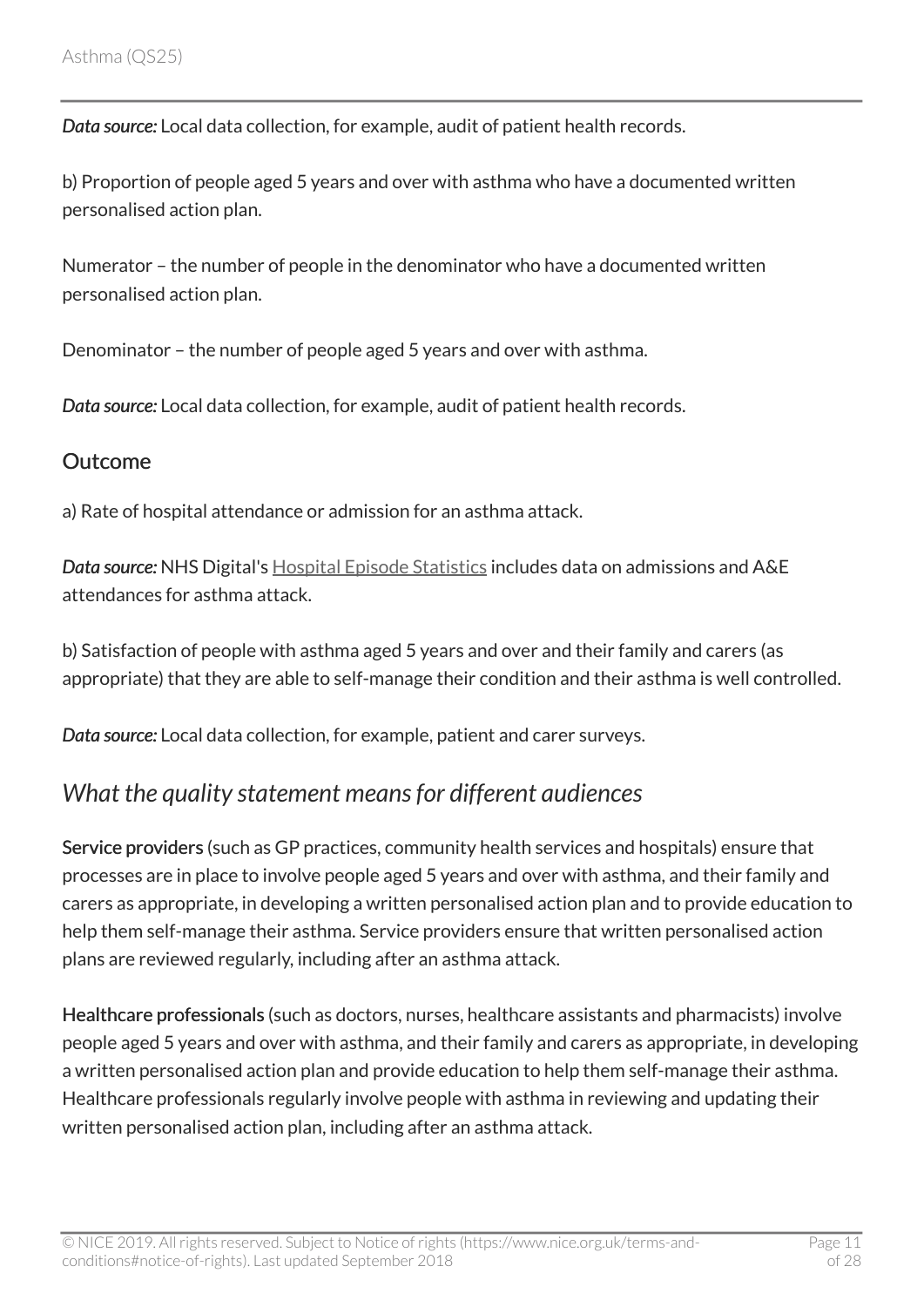*Data source:* Local data collection, for example, audit of patient health records.

b) Proportion of people aged 5 years and over with asthma who have a documented written personalised action plan.

Numerator – the number of people in the denominator who have a documented written personalised action plan.

Denominator – the number of people aged 5 years and over with asthma.

*Data source:* Local data collection, for example, audit of patient health records.

#### **Outcome**

a) Rate of hospital attendance or admission for an asthma attack.

*Data source:* NHS Digital's [Hospital Episode Statistics](https://digital.nhs.uk/data-and-information/data-tools-and-services/data-services/hospital-episode-statistics) includes data on admissions and A&E attendances for asthma attack.

b) Satisfaction of people with asthma aged 5 years and over and their family and carers (as appropriate) that they are able to self-manage their condition and their asthma is well controlled.

*Data source:* Local data collection, for example, patient and carer surveys.

## <span id="page-10-0"></span>*What the quality statement means for different audiences*

Service providers (such as GP practices, community health services and hospitals) ensure that processes are in place to involve people aged 5 years and over with asthma, and their family and carers as appropriate, in developing a written personalised action plan and to provide education to help them self-manage their asthma. Service providers ensure that written personalised action plans are reviewed regularly, including after an asthma attack.

Healthcare professionals (such as doctors, nurses, healthcare assistants and pharmacists) involve people aged 5 years and over with asthma, and their family and carers as appropriate, in developing a written personalised action plan and provide education to help them self-manage their asthma. Healthcare professionals regularly involve people with asthma in reviewing and updating their written personalised action plan, including after an asthma attack.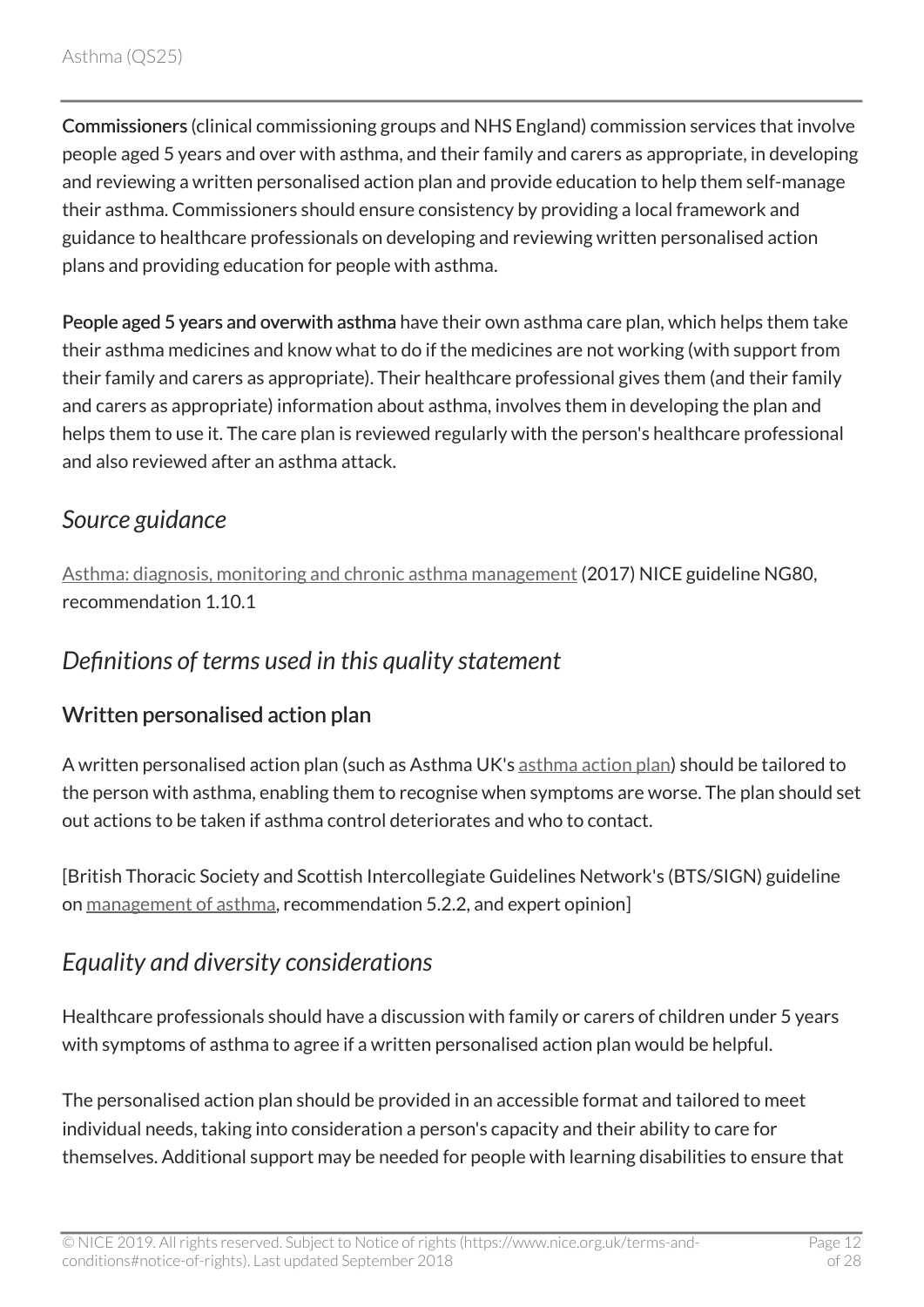Commissioners (clinical commissioning groups and NHS England) commission services that involve people aged 5 years and over with asthma, and their family and carers as appropriate, in developing and reviewing a written personalised action plan and provide education to help them self-manage their asthma. Commissioners should ensure consistency by providing a local framework and guidance to healthcare professionals on developing and reviewing written personalised action plans and providing education for people with asthma.

People aged 5 years and overwith asthma have their own asthma care plan, which helps them take their asthma medicines and know what to do if the medicines are not working (with support from their family and carers as appropriate). Their healthcare professional gives them (and their family and carers as appropriate) information about asthma, involves them in developing the plan and helps them to use it. The care plan is reviewed regularly with the person's healthcare professional and also reviewed after an asthma attack.

## <span id="page-11-0"></span>*Source guidance*

[Asthma: diagnosis, monitoring and chronic asthma management](http://www.nice.org.uk/guidance/ng80) (2017) NICE guideline NG80, recommendation 1.10.1

## <span id="page-11-1"></span>*Definitions of terms used in this quality statement*

### Written personalised action plan

A written personalised action plan (such as Asthma UK's [asthma action plan](https://www.asthma.org.uk/advice/manage-your-asthma/action-plan/)) should be tailored to the person with asthma, enabling them to recognise when symptoms are worse. The plan should set out actions to be taken if asthma control deteriorates and who to contact.

[British Thoracic Society and Scottish Intercollegiate Guidelines Network's (BTS/SIGN) guideline on [management of asthma,](http://www.sign.ac.uk/sign-153-british-guideline-on-the-management-of-asthma.html) recommendation 5.2.2, and expert opinion]

# <span id="page-11-2"></span>*Equality and diversity considerations*

Healthcare professionals should have a discussion with family or carers of children under 5 years with symptoms of asthma to agree if a written personalised action plan would be helpful.

The personalised action plan should be provided in an accessible format and tailored to meet individual needs, taking into consideration a person's capacity and their ability to care for themselves. Additional support may be needed for people with learning disabilities to ensure that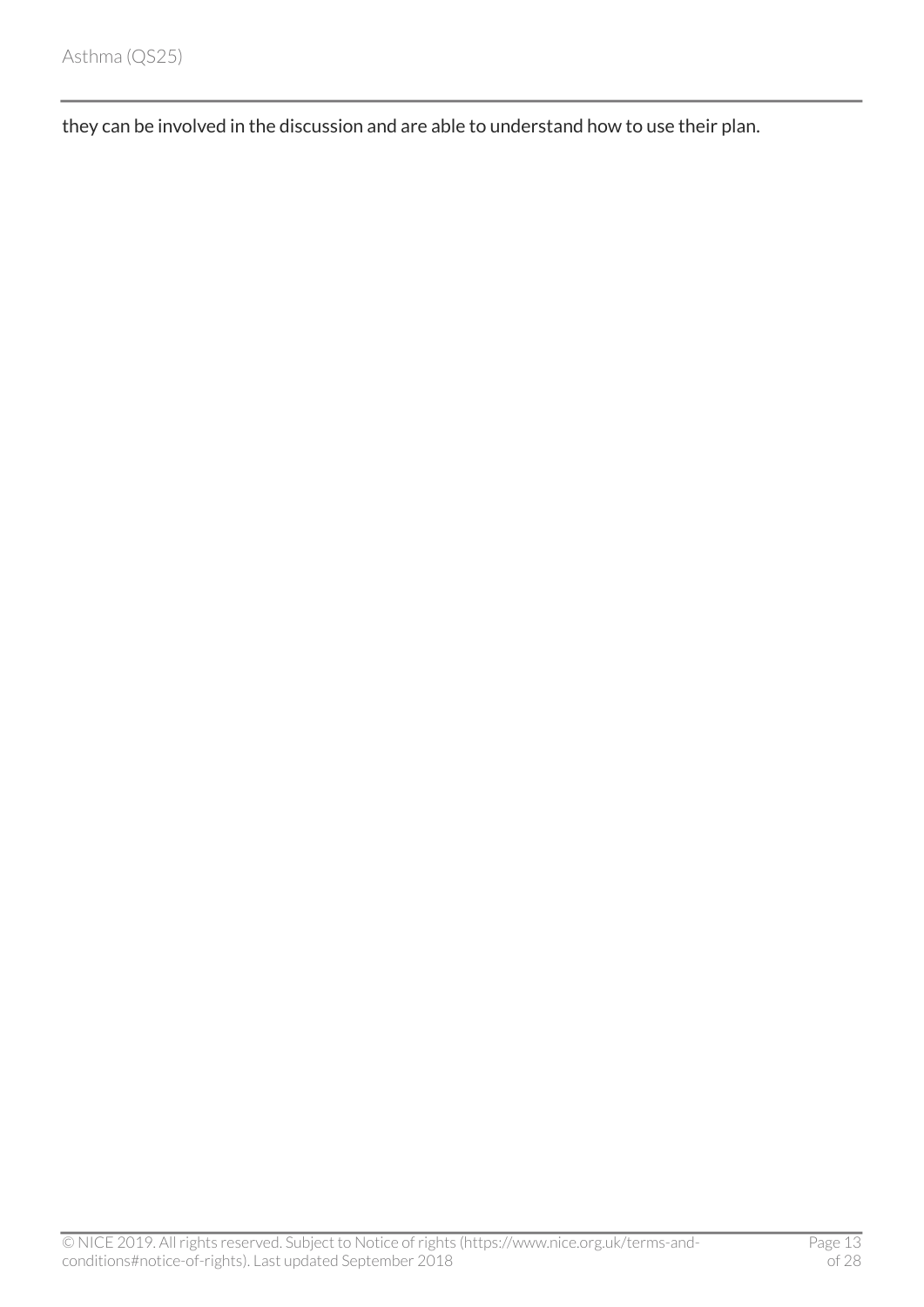they can be involved in the discussion and are able to understand how to use their plan.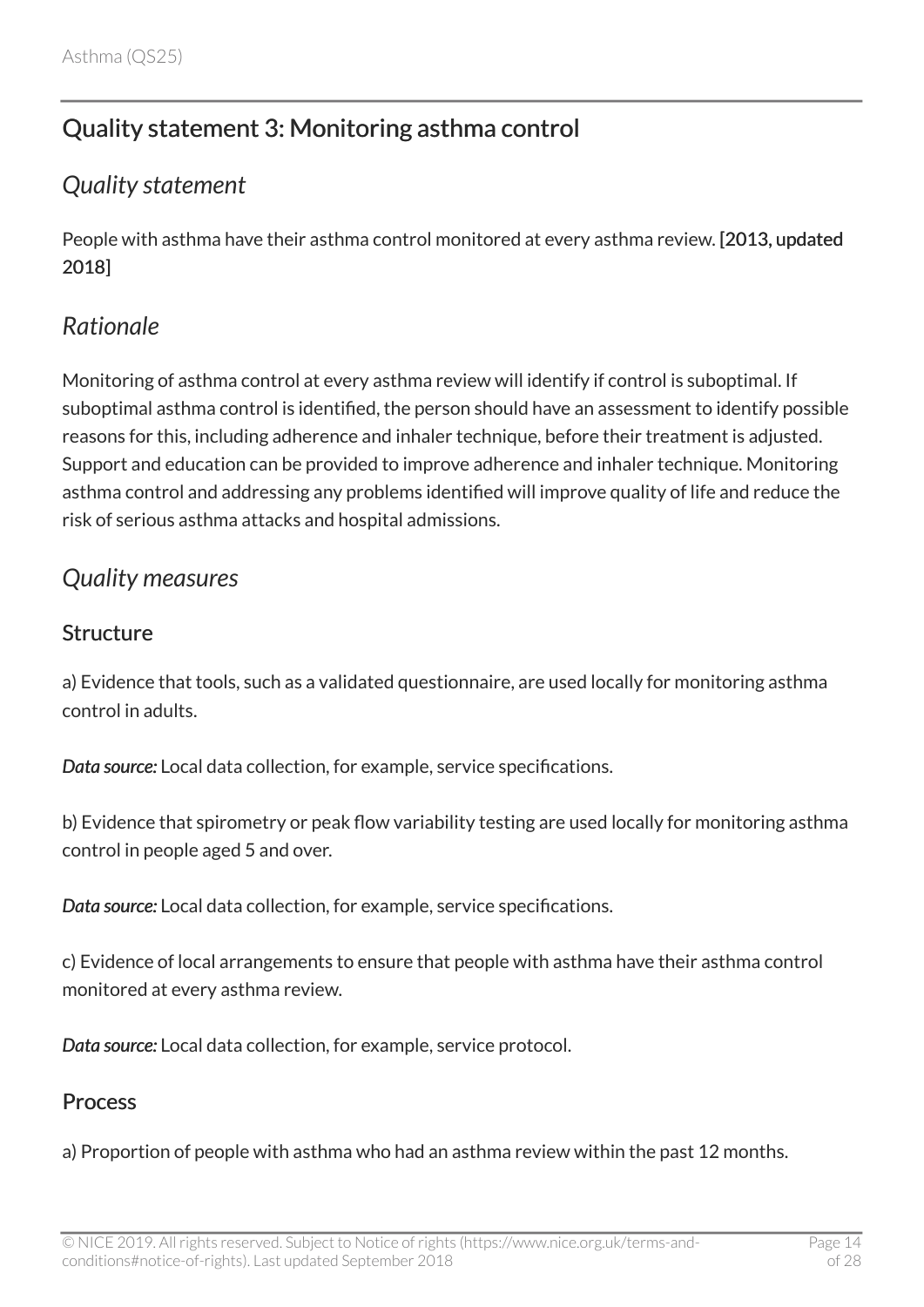# <span id="page-13-0"></span>Quality statement 3: Monitoring asthma control

### <span id="page-13-1"></span>*Quality statement*

People with asthma have their asthma control monitored at every asthma review. [2013, updated 2018]

### <span id="page-13-2"></span>*Rationale*

Monitoring of asthma control at every asthma review will identify if control is suboptimal. If suboptimal asthma control is identified, the person should have an assessment to identify possible reasons for this, including adherence and inhaler technique, before their treatment is adjusted. Support and education can be provided to improve adherence and inhaler technique. Monitoring asthma control and addressing any problems identified will improve quality of life and reduce the risk of serious asthma attacks and hospital admissions.

### <span id="page-13-3"></span>*Quality measures*

#### **Structure**

a) Evidence that tools, such as a validated questionnaire, are used locally for monitoring asthma control in adults.

*Data source:* Local data collection, for example, service specifications.

b) Evidence that spirometry or peak flow variability testing are used locally for monitoring asthma control in people aged 5 and over.

*Data source:* Local data collection, for example, service specifications.

c) Evidence of local arrangements to ensure that people with asthma have their asthma control monitored at every asthma review.

*Data source:* Local data collection, for example, service protocol.

#### Process

a) Proportion of people with asthma who had an asthma review within the past 12 months.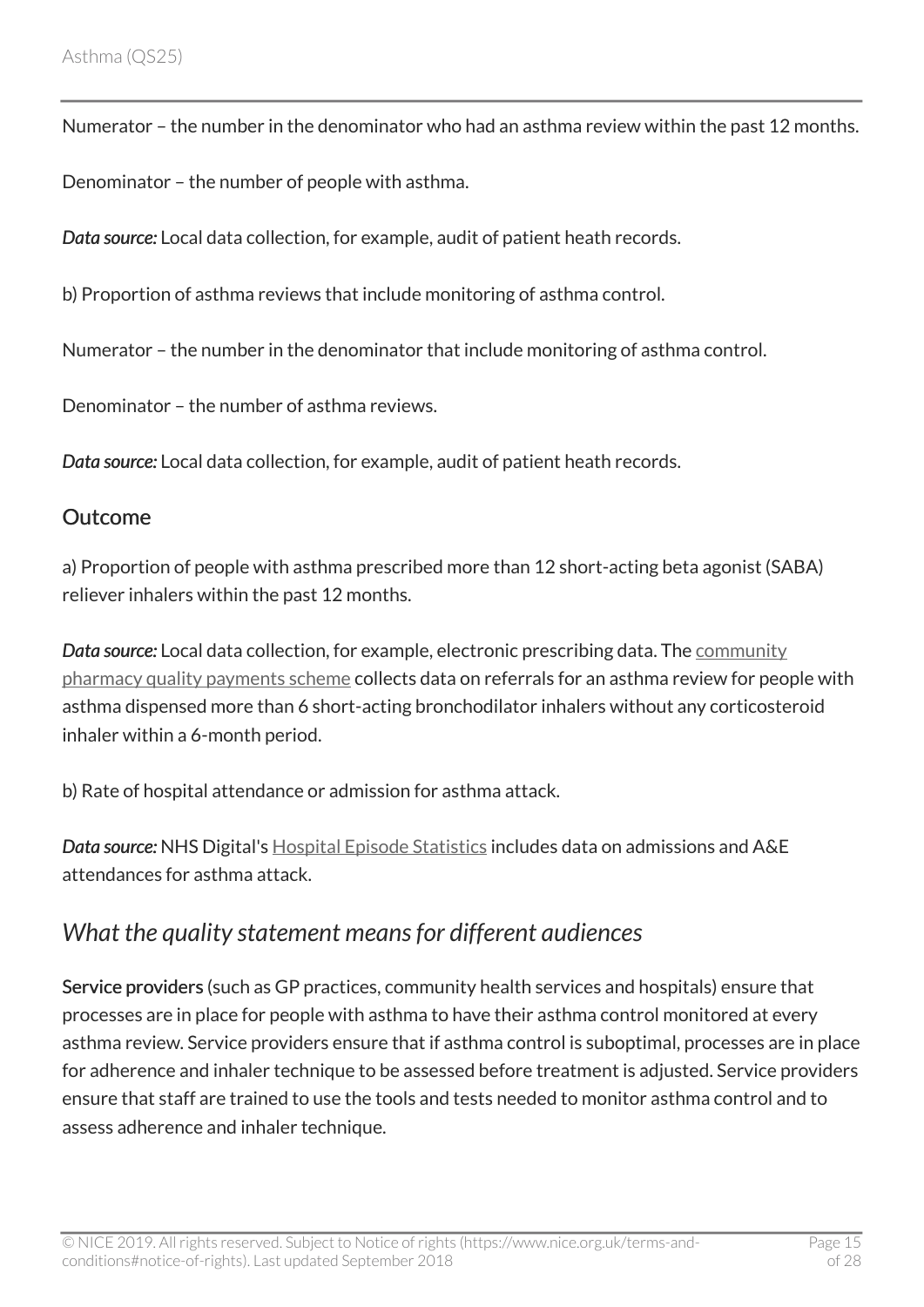Numerator – the number in the denominator who had an asthma review within the past 12 months.

Denominator – the number of people with asthma.

*Data source:* Local data collection, for example, audit of patient heath records.

b) Proportion of asthma reviews that include monitoring of asthma control.

Numerator – the number in the denominator that include monitoring of asthma control.

Denominator – the number of asthma reviews.

*Data source:* Local data collection, for example, audit of patient heath records.

#### Outcome

a) Proportion of people with asthma prescribed more than 12 short-acting beta agonist (SABA) reliever inhalers within the past 12 months.

*Data source:* Local data collection, for example, electronic prescribing data. The [community](https://www.gov.uk/government/publications/community-pharmacy-reforms) [pharmacy quality payments scheme](https://www.gov.uk/government/publications/community-pharmacy-reforms) collects data on referrals for an asthma review for people with asthma dispensed more than 6 short-acting bronchodilator inhalers without any corticosteroid inhaler within a 6-month period.

b) Rate of hospital attendance or admission for asthma attack.

*Data source:* NHS Digital's [Hospital Episode Statistics](https://digital.nhs.uk/data-and-information/data-tools-and-services/data-services/hospital-episode-statistics) includes data on admissions and A&E attendances for asthma attack.

### <span id="page-14-0"></span>*What the quality statement means for different audiences*

Service providers (such as GP practices, community health services and hospitals) ensure that processes are in place for people with asthma to have their asthma control monitored at every asthma review. Service providers ensure that if asthma control is suboptimal, processes are in place for adherence and inhaler technique to be assessed before treatment is adjusted. Service providers ensure that staff are trained to use the tools and tests needed to monitor asthma control and to assess adherence and inhaler technique.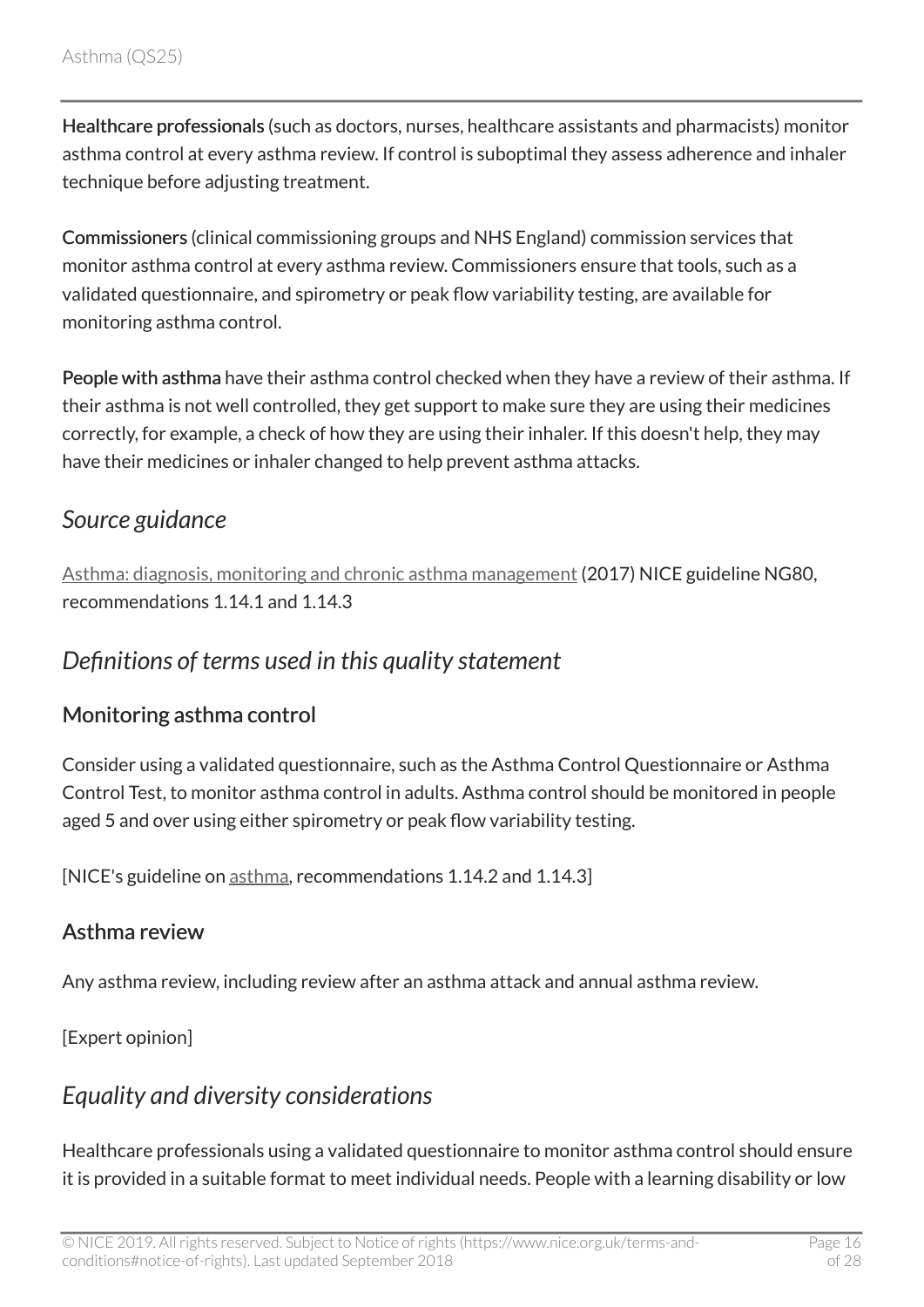Healthcare professionals (such as doctors, nurses, healthcare assistants and pharmacists) monitor asthma control at every asthma review. If control is suboptimal they assess adherence and inhaler technique before adjusting treatment.

Commissioners (clinical commissioning groups and NHS England) commission services that monitor asthma control at every asthma review. Commissioners ensure that tools, such as a validated questionnaire, and spirometry or peak flow variability testing, are available for monitoring asthma control.

People with asthma have their asthma control checked when they have a review of their asthma. If their asthma is not well controlled, they get support to make sure they are using their medicines correctly, for example, a check of how they are using their inhaler. If this doesn't help, they may have their medicines or inhaler changed to help prevent asthma attacks.

## <span id="page-15-0"></span>*Source guidance*

[Asthma: diagnosis, monitoring and chronic asthma management](http://www.nice.org.uk/guidance/ng80) (2017) NICE guideline NG80, recommendations 1.14.1 and 1.14.3

### <span id="page-15-1"></span>*Definitions of terms used in this quality statement*

#### Monitoring asthma control

Consider using a validated questionnaire, such as the Asthma Control Questionnaire or Asthma Control Test, to monitor asthma control in adults. Asthma control should be monitored in people aged 5 and over using either spirometry or peak flow variability testing.

[NICE's guideline on [asthma](http://www.nice.org.uk/guidance/ng80), recommendations 1.14.2 and 1.14.3]

#### Asthma review

Any asthma review, including review after an asthma attack and annual asthma review.

[Expert opinion]

## <span id="page-15-2"></span>*Equality and diversity considerations*

Healthcare professionals using a validated questionnaire to monitor asthma control should ensure it is provided in a suitable format to meet individual needs. People with a learning disability or low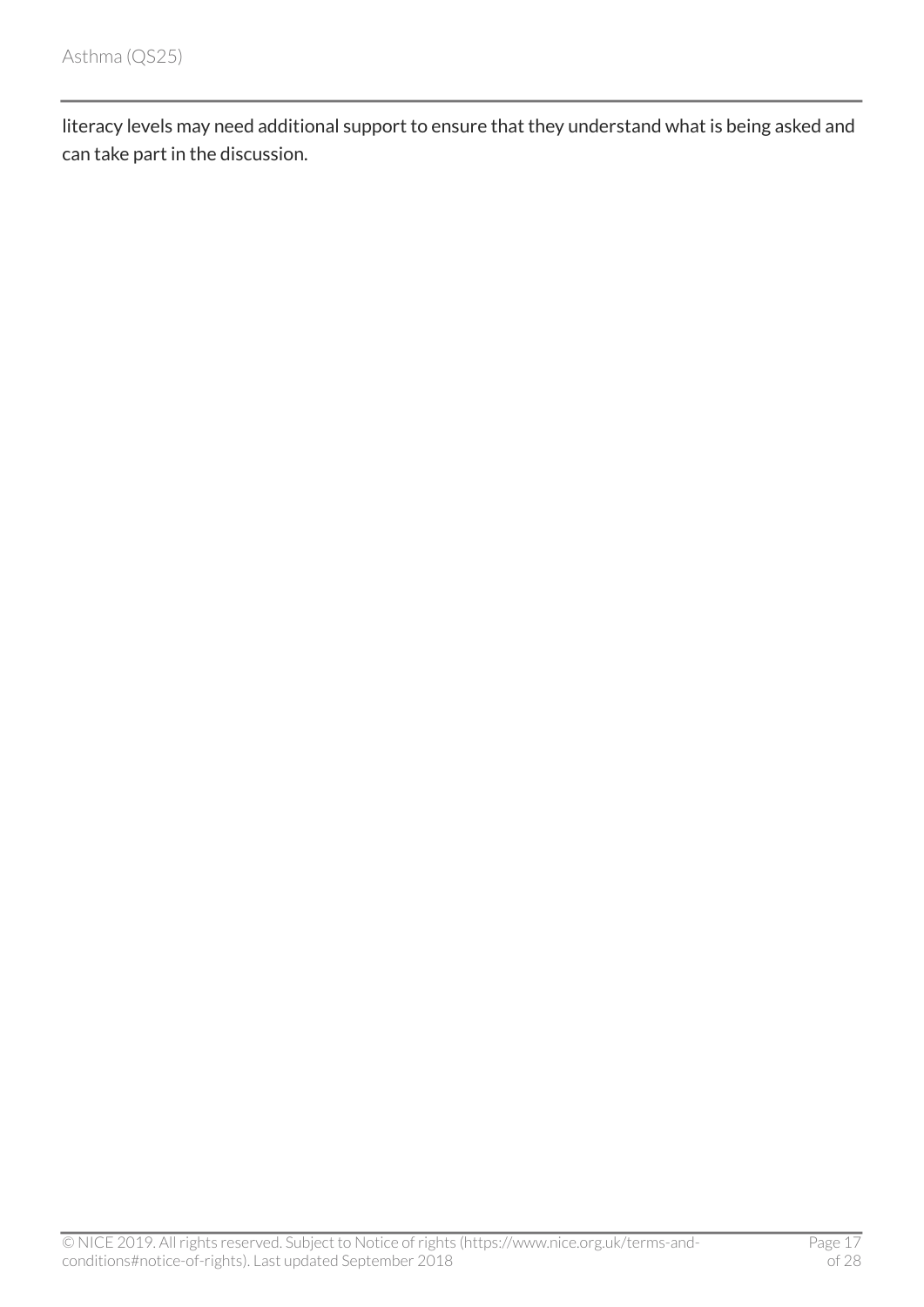literacy levels may need additional support to ensure that they understand what is being asked and can take part in the discussion.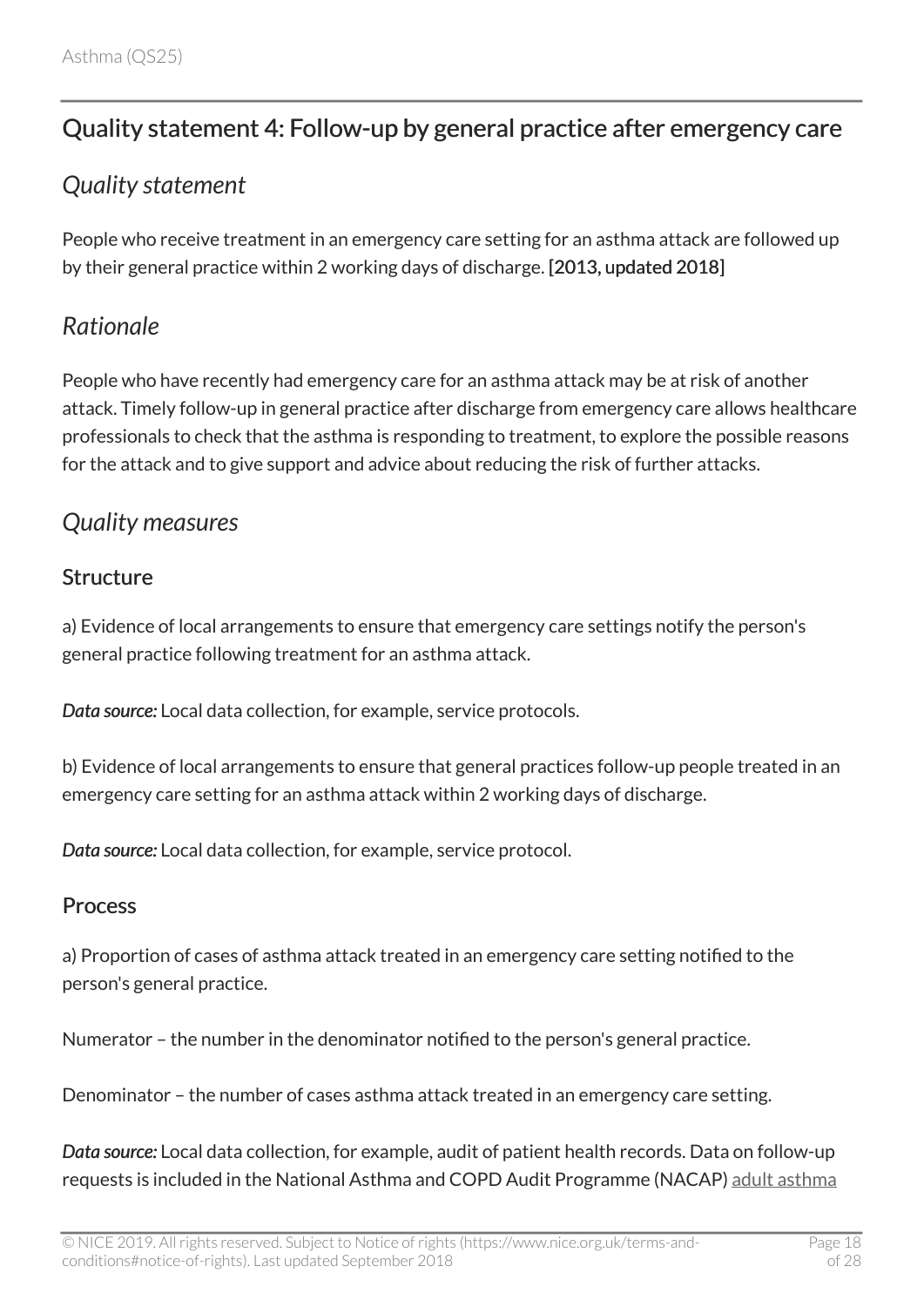# <span id="page-17-0"></span>Quality statement 4: Follow-up by general practice after emergency care

## <span id="page-17-1"></span>*Quality statement*

People who receive treatment in an emergency care setting for an asthma attack are followed up by their general practice within 2 working days of discharge. [2013, updated 2018]

### <span id="page-17-2"></span>*Rationale*

People who have recently had emergency care for an asthma attack may be at risk of another attack. Timely follow-up in general practice after discharge from emergency care allows healthcare professionals to check that the asthma is responding to treatment, to explore the possible reasons for the attack and to give support and advice about reducing the risk of further attacks.

## <span id="page-17-3"></span>*Quality measures*

#### Structure

a) Evidence of local arrangements to ensure that emergency care settings notify the person's general practice following treatment for an asthma attack.

*Data source:* Local data collection, for example, service protocols.

b) Evidence of local arrangements to ensure that general practices follow-up people treated in an emergency care setting for an asthma attack within 2 working days of discharge.

*Data source:* Local data collection, for example, service protocol.

#### Process

a) Proportion of cases of asthma attack treated in an emergency care setting notified to the person's general practice.

Numerator – the number in the denominator notified to the person's general practice.

Denominator – the number of cases asthma attack treated in an emergency care setting.

*Data source:* Local data collection, for example, audit of patient health records. Data on follow-up requests is included in the National Asthma and COPD Audit Programme (NACAP) [adult asthma](https://www.rcplondon.ac.uk/projects/national-asthma-and-copd-audit-programme-nacap-secondary-care-workstream-adult-asthma)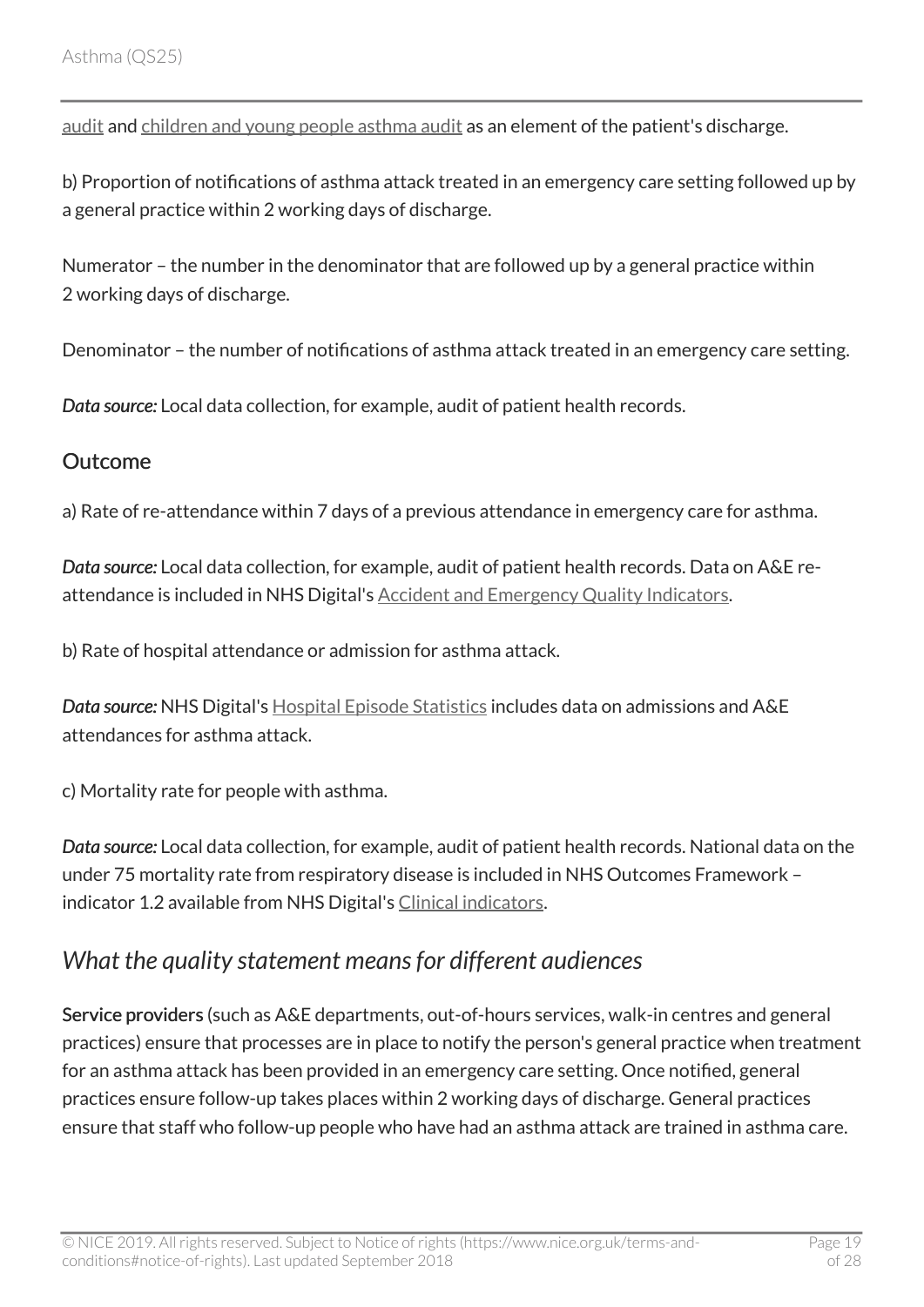[audit](https://www.rcplondon.ac.uk/projects/national-asthma-and-copd-audit-programme-nacap-secondary-care-workstream-adult-asthma) and [children and young people asthma audit](https://www.rcplondon.ac.uk/projects/national-asthma-and-copd-audit-programme-nacap-secondary-care-workstream-children-and-young) as an element of the patient's discharge.

b) Proportion of notifications of asthma attack treated in an emergency care setting followed up by a general practice within 2 working days of discharge.

Numerator – the number in the denominator that are followed up by a general practice within 2 working days of discharge.

Denominator – the number of notifications of asthma attack treated in an emergency care setting.

*Data source:* Local data collection, for example, audit of patient health records.

#### **Outcome**

a) Rate of re-attendance within 7 days of a previous attendance in emergency care for asthma.

*Data source:* Local data collection, for example, audit of patient health records. Data on A&E reattendance is included in NHS Digital's **Accident and Emergency Quality Indicators**.

b) Rate of hospital attendance or admission for asthma attack.

*Data source:* NHS Digital's [Hospital Episode Statistics](https://digital.nhs.uk/data-and-information/data-tools-and-services/data-services/hospital-episode-statistics) includes data on admissions and A&E attendances for asthma attack.

c) Mortality rate for people with asthma.

*Data source:* Local data collection, for example, audit of patient health records. National data on the under 75 mortality rate from respiratory disease is included in NHS Outcomes Framework – indicator 1.2 available from NHS Digital's [Clinical indicators](https://digital.nhs.uk/).

# <span id="page-18-0"></span>*What the quality statement means for different audiences*

Service providers (such as A&E departments, out-of-hours services, walk-in centres and general practices) ensure that processes are in place to notify the person's general practice when treatment for an asthma attack has been provided in an emergency care setting. Once notified, general practices ensure follow-up takes places within 2 working days of discharge. General practices ensure that staff who follow-up people who have had an asthma attack are trained in asthma care.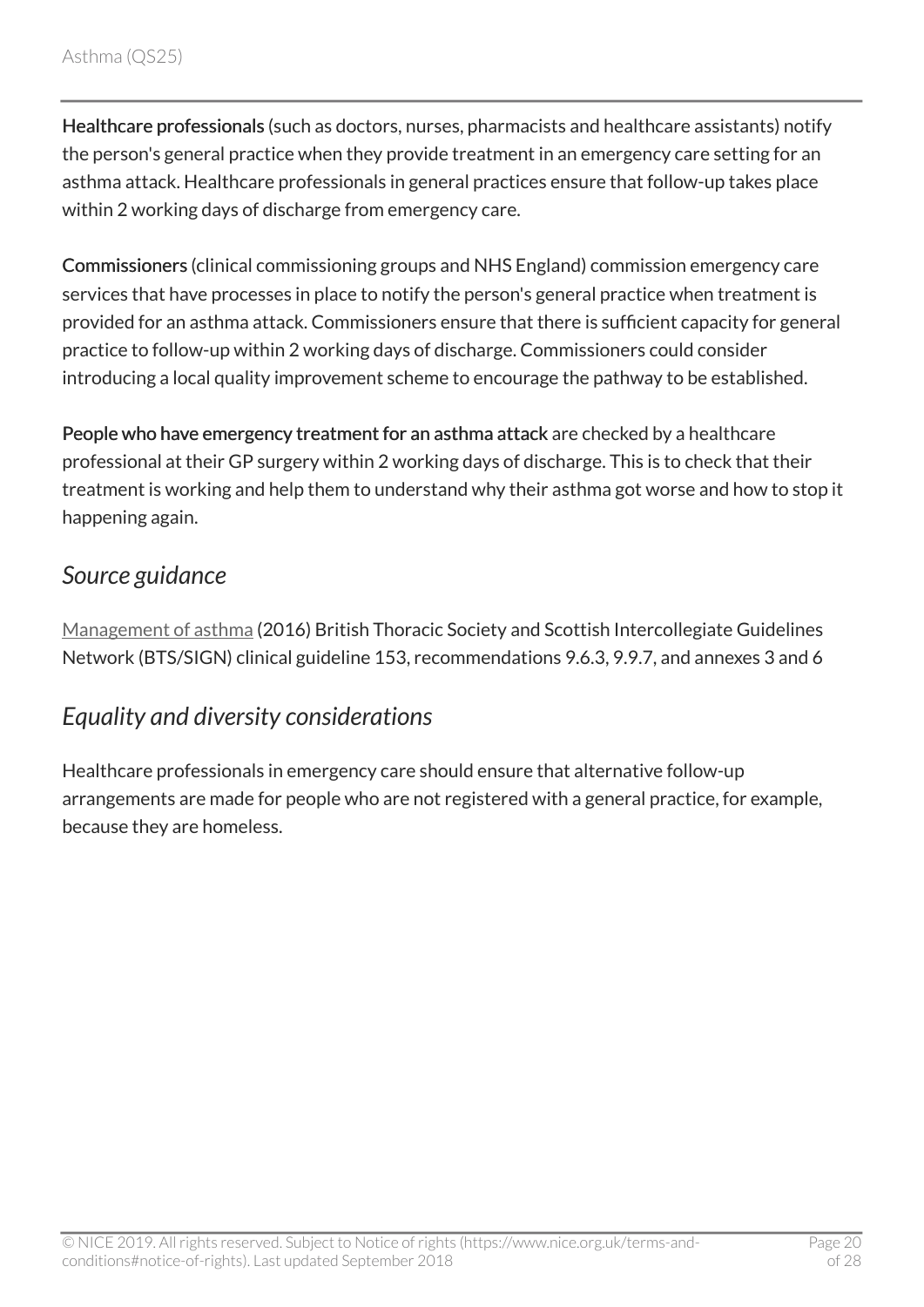Healthcare professionals (such as doctors, nurses, pharmacists and healthcare assistants) notify the person's general practice when they provide treatment in an emergency care setting for an asthma attack. Healthcare professionals in general practices ensure that follow-up takes place within 2 working days of discharge from emergency care.

Commissioners (clinical commissioning groups and NHS England) commission emergency care services that have processes in place to notify the person's general practice when treatment is provided for an asthma attack. Commissioners ensure that there is sufficient capacity for general practice to follow-up within 2 working days of discharge. Commissioners could consider introducing a local quality improvement scheme to encourage the pathway to be established.

People who have emergency treatment for an asthma attack are checked by a healthcare professional at their GP surgery within 2 working days of discharge. This is to check that their treatment is working and help them to understand why their asthma got worse and how to stop it happening again.

### <span id="page-19-0"></span>*Source guidance*

[Management of asthma](http://www.sign.ac.uk/sign-153-british-guideline-on-the-management-of-asthma.html) (2016) British Thoracic Society and Scottish Intercollegiate Guidelines Network (BTS/SIGN) clinical guideline 153, recommendations 9.6.3, 9.9.7, and annexes 3 and 6

## <span id="page-19-1"></span>*Equality and diversity considerations*

Healthcare professionals in emergency care should ensure that alternative follow-up arrangements are made for people who are not registered with a general practice, for example, because they are homeless.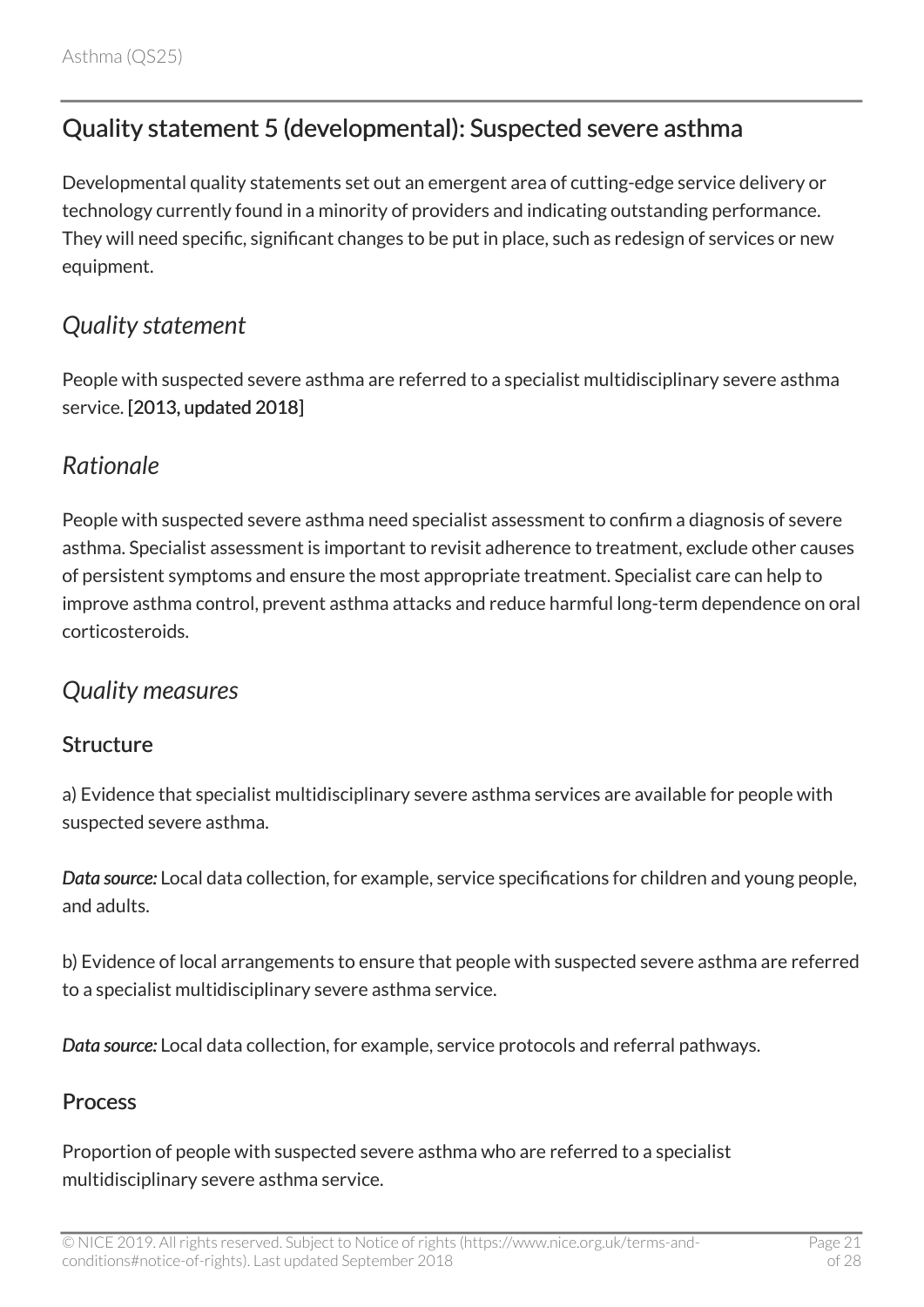# <span id="page-20-0"></span>Quality statement 5 (developmental): Suspected severe asthma

Developmental quality statements set out an emergent area of cutting-edge service delivery or technology currently found in a minority of providers and indicating outstanding performance. They will need specific, significant changes to be put in place, such as redesign of services or new equipment.

### <span id="page-20-1"></span>*Quality statement*

People with suspected severe asthma are referred to a specialist multidisciplinary severe asthma service. [2013, updated 2018]

#### <span id="page-20-2"></span>*Rationale*

People with suspected severe asthma need specialist assessment to confirm a diagnosis of severe asthma. Specialist assessment is important to revisit adherence to treatment, exclude other causes of persistent symptoms and ensure the most appropriate treatment. Specialist care can help to improve asthma control, prevent asthma attacks and reduce harmful long-term dependence on oral corticosteroids.

### <span id="page-20-3"></span>*Quality measures*

#### **Structure**

a) Evidence that specialist multidisciplinary severe asthma services are available for people with suspected severe asthma.

*Data source:* Local data collection, for example, service specifications for children and young people, and adults.

b) Evidence of local arrangements to ensure that people with suspected severe asthma are referred to a specialist multidisciplinary severe asthma service.

*Data source:* Local data collection, for example, service protocols and referral pathways.

#### Process

Proportion of people with suspected severe asthma who are referred to a specialist multidisciplinary severe asthma service.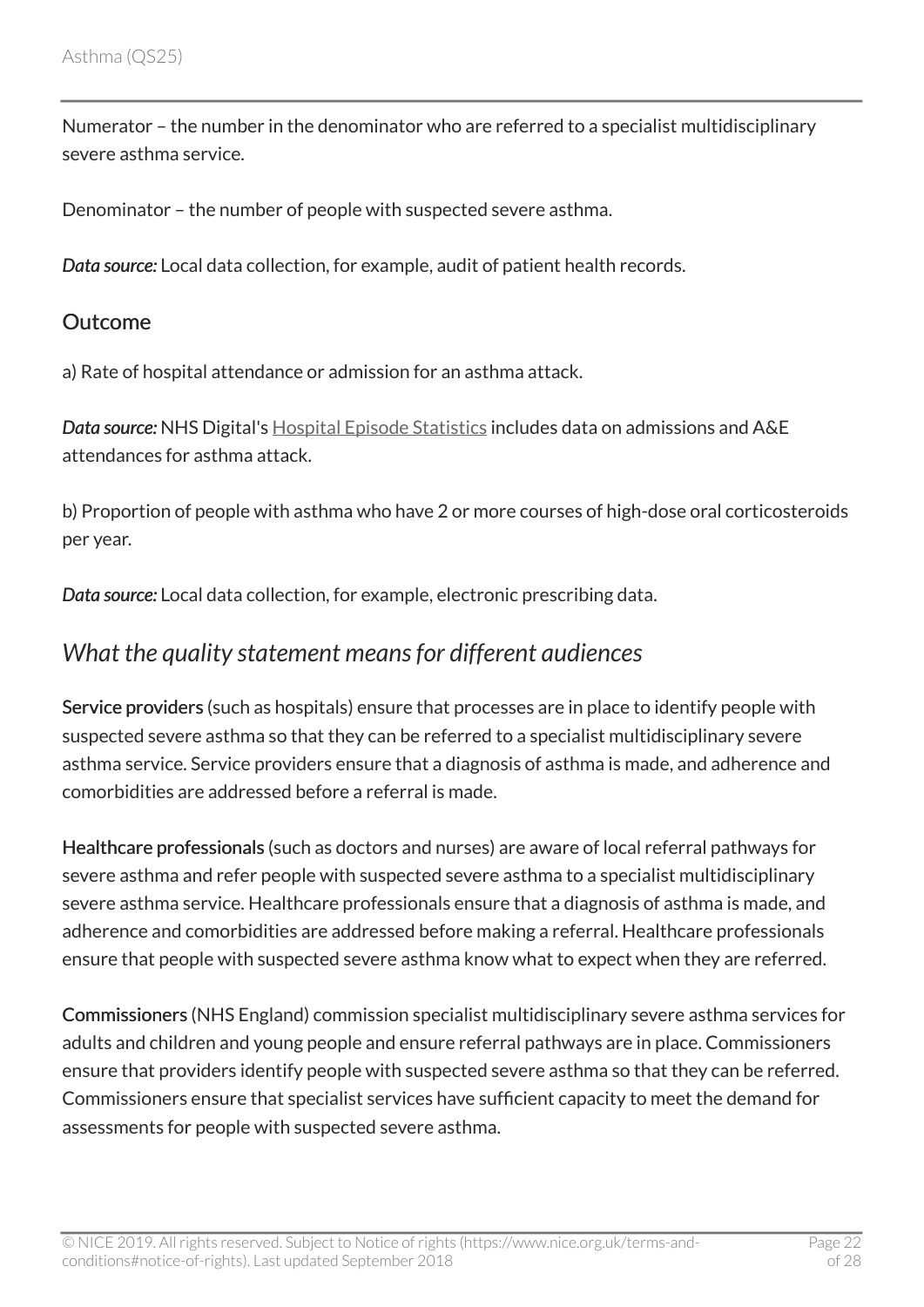Numerator – the number in the denominator who are referred to a specialist multidisciplinary severe asthma service.

Denominator – the number of people with suspected severe asthma.

*Data source:* Local data collection, for example, audit of patient health records.

#### **Outcome**

a) Rate of hospital attendance or admission for an asthma attack.

*Data source:* NHS Digital's [Hospital Episode Statistics](https://digital.nhs.uk/data-and-information/data-tools-and-services/data-services/hospital-episode-statistics) includes data on admissions and A&E attendances for asthma attack.

b) Proportion of people with asthma who have 2 or more courses of high-dose oral corticosteroids per year.

*Data source:* Local data collection, for example, electronic prescribing data.

### <span id="page-21-0"></span>*What the quality statement means for different audiences*

Service providers (such as hospitals) ensure that processes are in place to identify people with suspected severe asthma so that they can be referred to a specialist multidisciplinary severe asthma service. Service providers ensure that a diagnosis of asthma is made, and adherence and comorbidities are addressed before a referral is made.

Healthcare professionals (such as doctors and nurses) are aware of local referral pathways for severe asthma and refer people with suspected severe asthma to a specialist multidisciplinary severe asthma service. Healthcare professionals ensure that a diagnosis of asthma is made, and adherence and comorbidities are addressed before making a referral. Healthcare professionals ensure that people with suspected severe asthma know what to expect when they are referred.

Commissioners (NHS England) commission specialist multidisciplinary severe asthma services for adults and children and young people and ensure referral pathways are in place. Commissioners ensure that providers identify people with suspected severe asthma so that they can be referred. Commissioners ensure that specialist services have sufficient capacity to meet the demand for assessments for people with suspected severe asthma.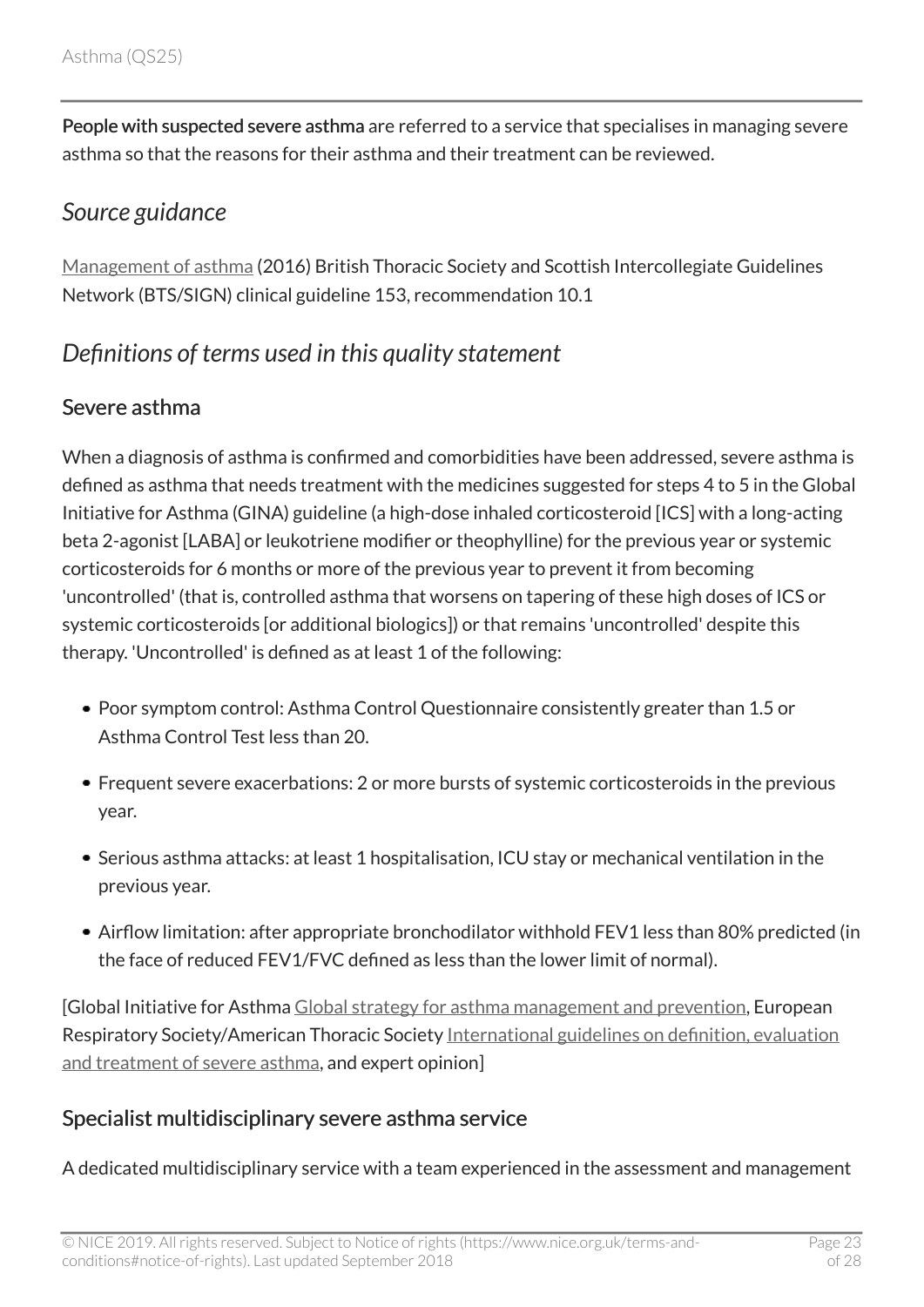People with suspected severe asthma are referred to a service that specialises in managing severe asthma so that the reasons for their asthma and their treatment can be reviewed.

### <span id="page-22-0"></span>*Source guidance*

[Management of asthma](http://www.sign.ac.uk/sign-153-british-guideline-on-the-management-of-asthma.html) (2016) British Thoracic Society and Scottish Intercollegiate Guidelines Network (BTS/SIGN) clinical guideline 153, recommendation 10.1

# <span id="page-22-1"></span>*Definitions of terms used in this quality statement*

#### Severe asthma

When a diagnosis of asthma is confirmed and comorbidities have been addressed, severe asthma is defined as asthma that needs treatment with the medicines suggested for steps 4 to 5 in the Global Initiative for Asthma (GINA) guideline (a high-dose inhaled corticosteroid [ICS] with a long-acting beta 2-agonist [LABA] or leukotriene modifier or theophylline) for the previous year or systemic corticosteroids for 6 months or more of the previous year to prevent it from becoming 'uncontrolled' (that is, controlled asthma that worsens on tapering of these high doses of ICS or systemic corticosteroids [or additional biologics]) or that remains 'uncontrolled' despite this therapy. 'Uncontrolled' is defined as at least 1 of the following:

- Poor symptom control: Asthma Control Questionnaire consistently greater than 1.5 or Asthma Control Test less than 20.
- Frequent severe exacerbations: 2 or more bursts of systemic corticosteroids in the previous year.
- Serious asthma attacks: at least 1 hospitalisation, ICU stay or mechanical ventilation in the previous year.
- Airflow limitation: after appropriate bronchodilator withhold FEV1 less than 80% predicted (in the face of reduced FEV1/FVC defined as less than the lower limit of normal).

[Global Initiative for Asthma [Global strategy for asthma management and prevention,](http://ginasthma.org/2018-gina-report-global-strategy-for-asthma-management-and-prevention/) European Respiratory Society/American Thoracic Society [International guidelines on definition, evaluation](http://erj.ersjournals.com/content/43/2/343?ijkey=6dc0eebfc2826a6764d82b61151d7cebd4d26b2f&keytype2=tf_ipsecsha) [and treatment of severe asthma](http://erj.ersjournals.com/content/43/2/343?ijkey=6dc0eebfc2826a6764d82b61151d7cebd4d26b2f&keytype2=tf_ipsecsha), and expert opinion]

#### Specialist multidisciplinary severe asthma service

A dedicated multidisciplinary service with a team experienced in the assessment and management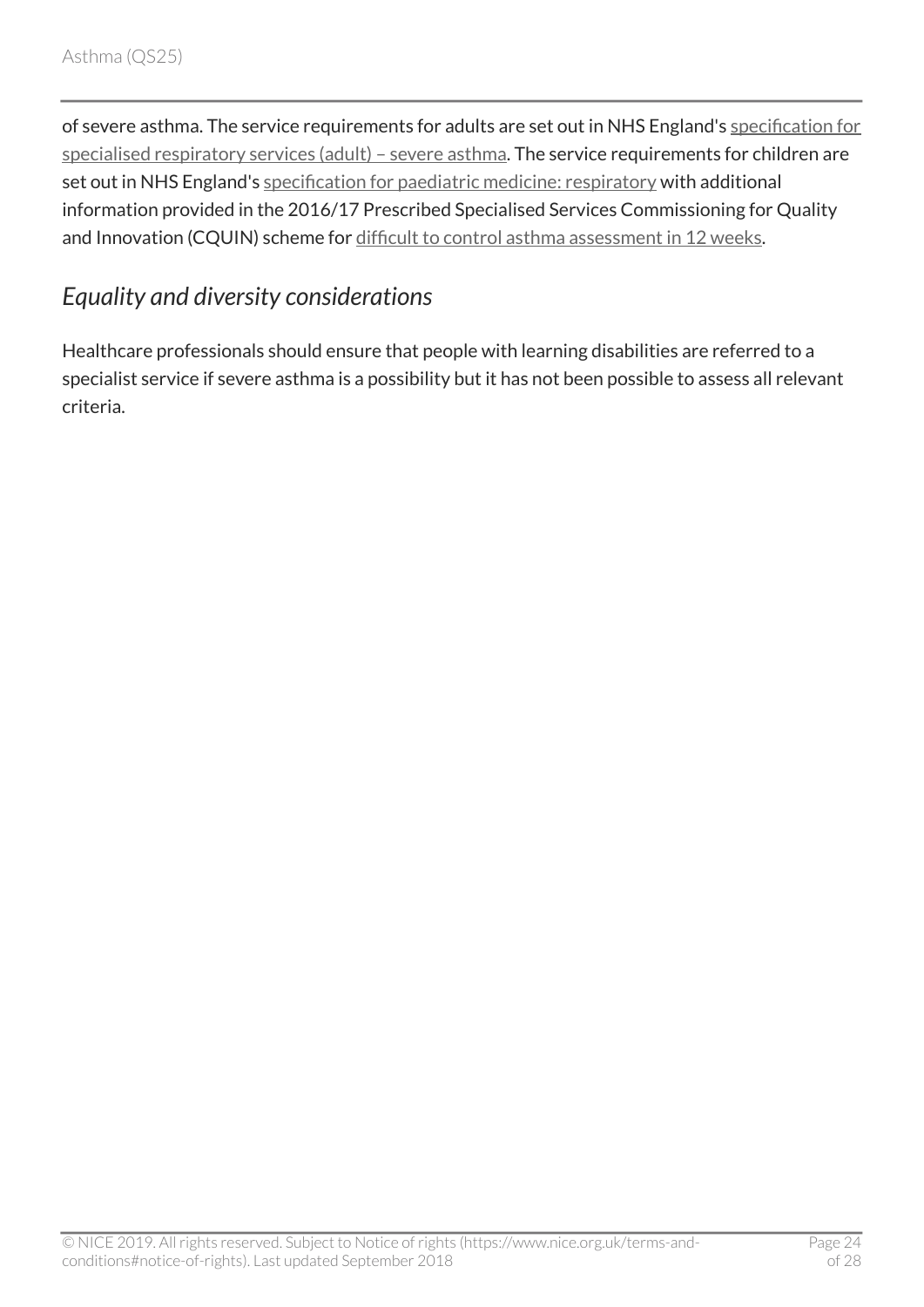of severe asthma. The service requirements for adults are set out in NHS England's [specification for](https://www.england.nhs.uk/publication/specialised-respiratory-services-adult-severe-asthma/) [specialised respiratory services \(adult\) – severe asthma.](https://www.england.nhs.uk/publication/specialised-respiratory-services-adult-severe-asthma/) The service requirements for children are set out in NHS England's [specification for paediatric medicine: respiratory](https://www.england.nhs.uk/commissioning/spec-services/npc-crg/group-e/e03/) with additional information provided in the 2016/17 Prescribed Specialised Services Commissioning for Quality and Innovation (CQUIN) scheme for [difficult to control asthma assessment in 12](https://www.england.nhs.uk/publication/wc1-difficult-to-control-asthma-assessment-in-twelve-weeks/) weeks.

# <span id="page-23-0"></span>*Equality and diversity considerations*

Healthcare professionals should ensure that people with learning disabilities are referred to a specialist service if severe asthma is a possibility but it has not been possible to assess all relevant criteria.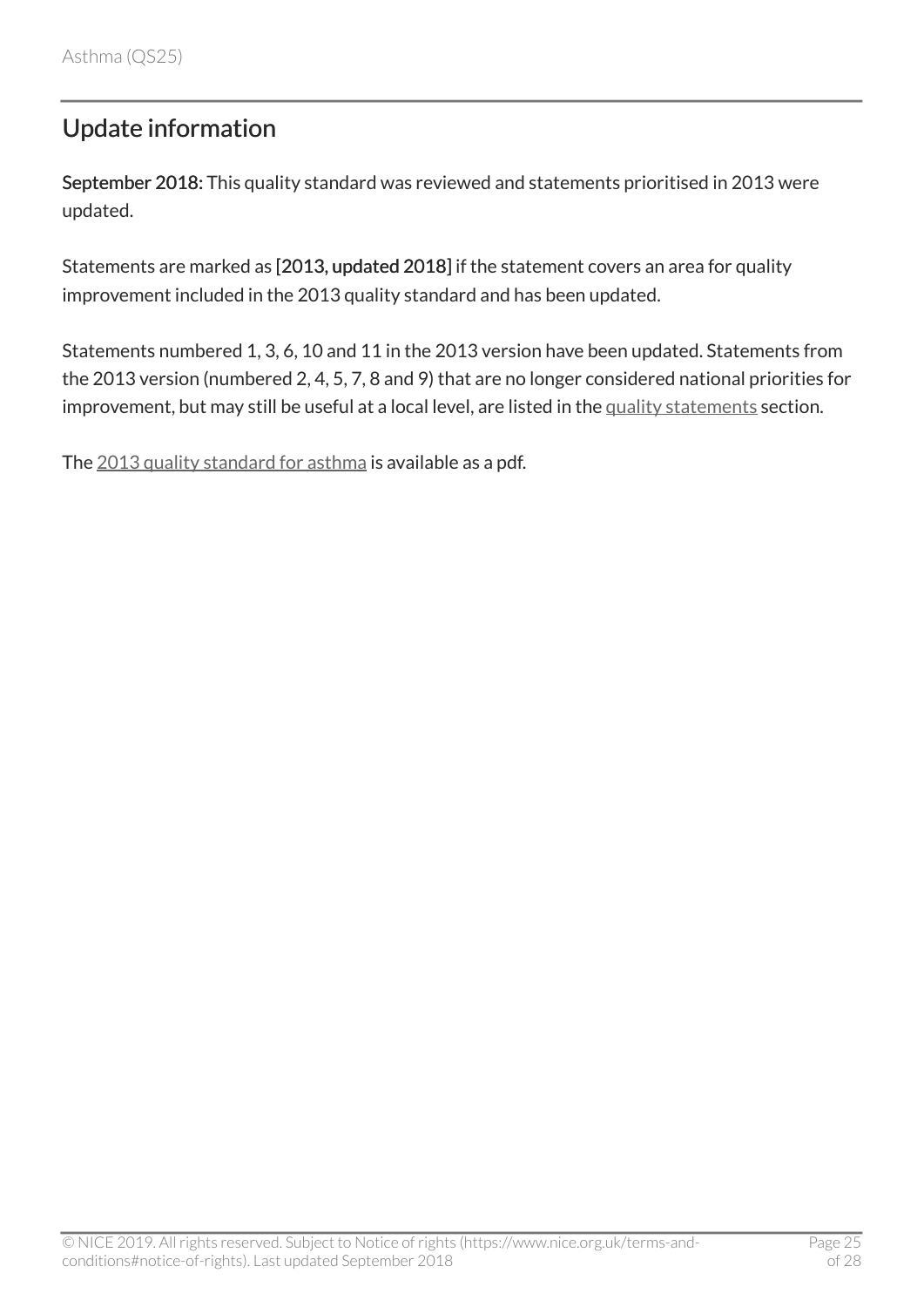# <span id="page-24-0"></span>Update information

September 2018: This quality standard was reviewed and statements prioritised in 2013 were updated.

Statements are marked as [2013, updated 2018] if the statement covers an area for quality improvement included in the 2013 quality standard and has been updated.

Statements numbered 1, 3, 6, 10 and 11 in the 2013 version have been updated. Statements from the 2013 version (numbered 2, 4, 5, 7, 8 and 9) that are no longer considered national priorities for improvement, but may still be useful at a local level, are listed in the [quality statements](#page-3-0) section.

The [2013 quality standard for asthma](http://www.nice.org.uk/guidance/QS25/documents) is available as a pdf.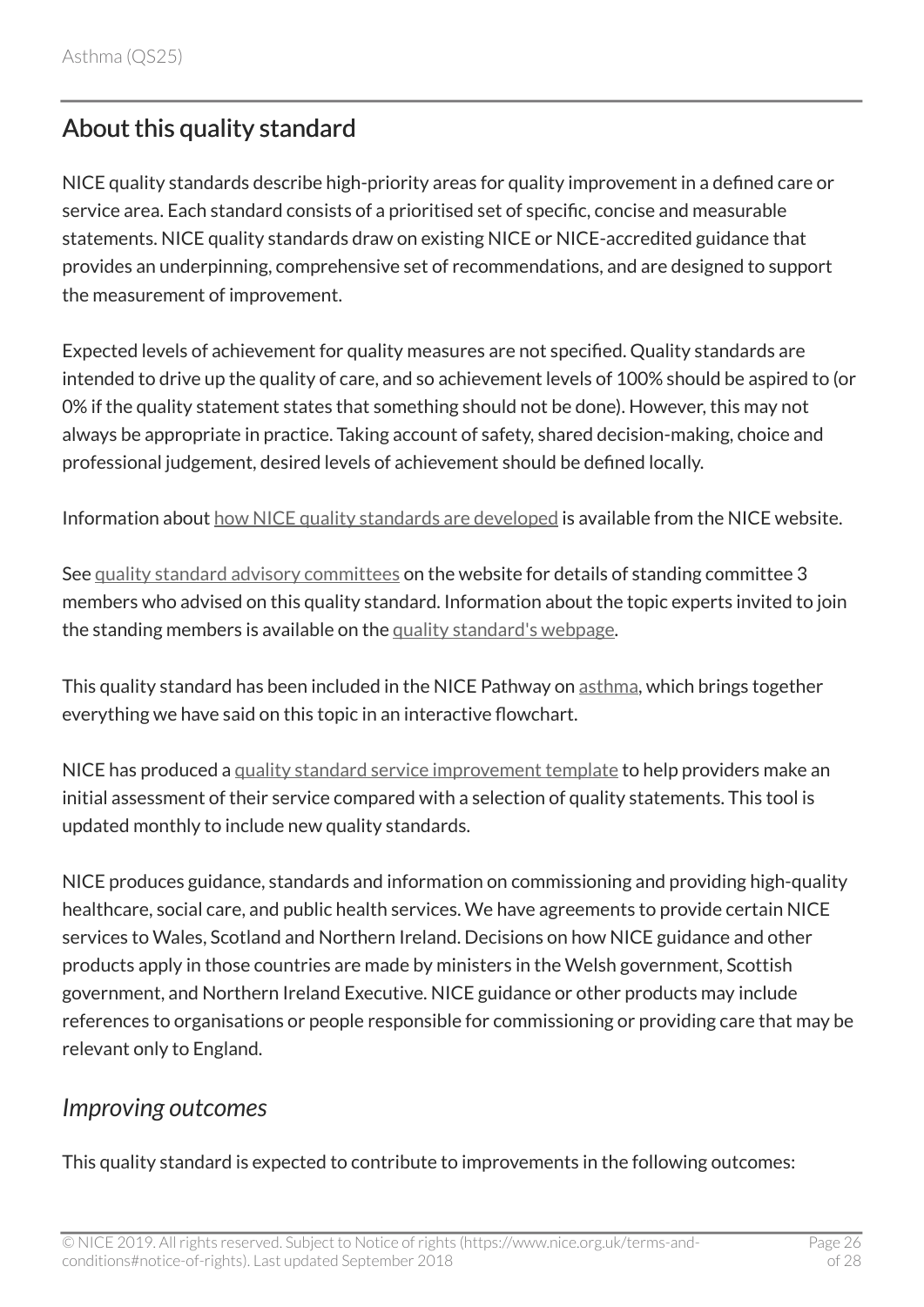# <span id="page-25-0"></span>About this quality standard

NICE quality standards describe high-priority areas for quality improvement in a defined care or service area. Each standard consists of a prioritised set of specific, concise and measurable statements. NICE quality standards draw on existing NICE or NICE-accredited guidance that provides an underpinning, comprehensive set of recommendations, and are designed to support the measurement of improvement.

Expected levels of achievement for quality measures are not specified. Quality standards are intended to drive up the quality of care, and so achievement levels of 100% should be aspired to (or 0% if the quality statement states that something should not be done). However, this may not always be appropriate in practice. Taking account of safety, shared decision-making, choice and professional judgement, desired levels of achievement should be defined locally.

Information about [how NICE quality standards are developed](https://www.nice.org.uk/standards-and-indicators/timeline-developing-quality-standards) is available from the NICE website.

See [quality standard advisory committees](http://www.nice.org.uk/Get-Involved/Meetings-in-public/Quality-Standards-Advisory-Committee) on the website for details of standing committee 3 members who advised on this quality standard. Information about the topic experts invited to join the standing members is available on the [quality standard's webpage](https://www.nice.org.uk/guidance/qs25/documents).

This quality standard has been included in the NICE Pathway on [asthma](https://pathways.nice.org.uk/pathways/asthma), which brings together everything we have said on this topic in an interactive flowchart.

NICE has produced a [quality standard service improvement template](https://www.nice.org.uk/guidance/qs25/resources) to help providers make an initial assessment of their service compared with a selection of quality statements. This tool is updated monthly to include new quality standards.

NICE produces guidance, standards and information on commissioning and providing high-quality healthcare, social care, and public health services. We have agreements to provide certain NICE services to Wales, Scotland and Northern Ireland. Decisions on how NICE guidance and other products apply in those countries are made by ministers in the Welsh government, Scottish government, and Northern Ireland Executive. NICE guidance or other products may include references to organisations or people responsible for commissioning or providing care that may be relevant only to England.

### <span id="page-25-1"></span>*Improving outcomes*

This quality standard is expected to contribute to improvements in the following outcomes: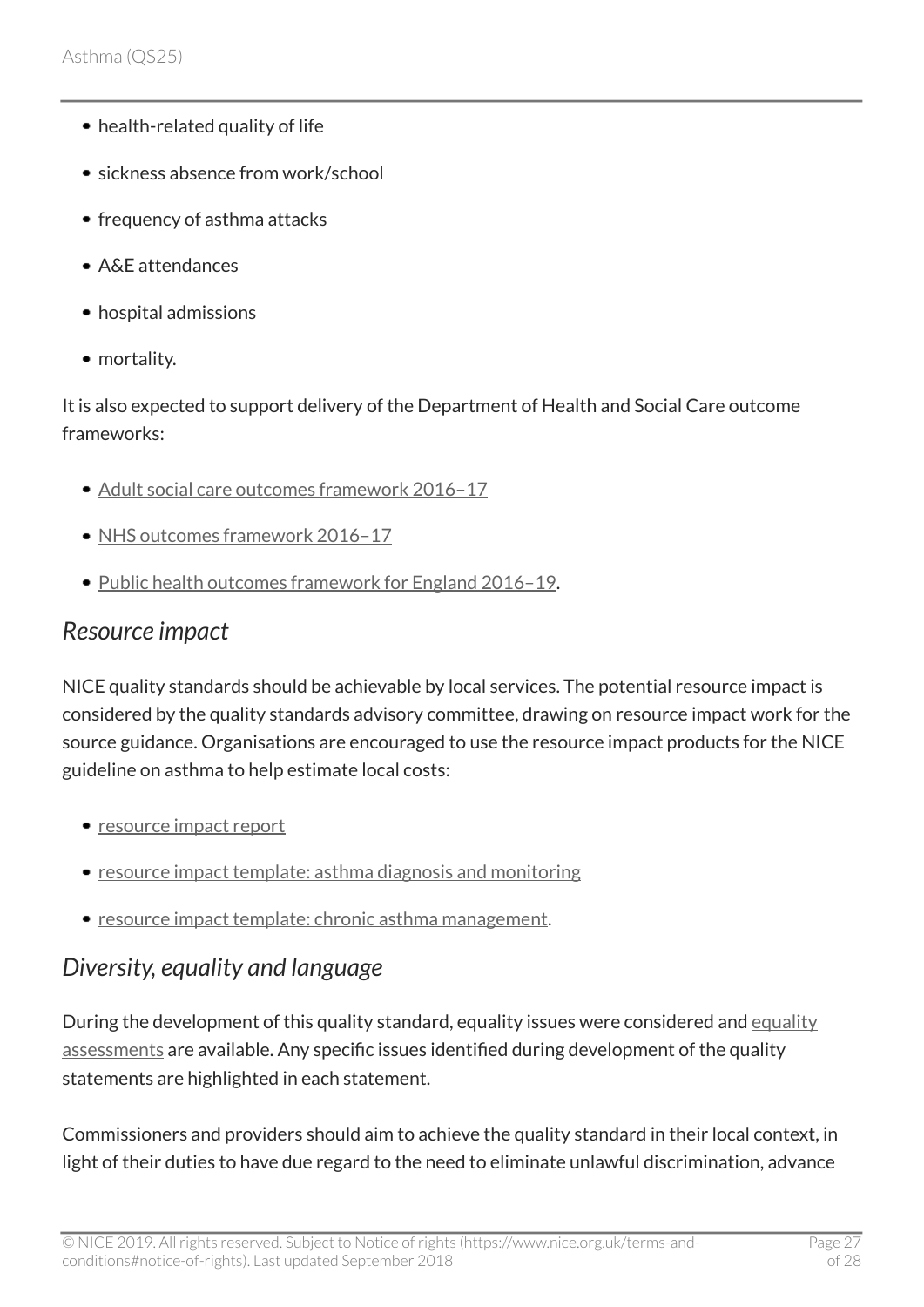- health-related quality of life
- sickness absence from work/school
- frequency of asthma attacks
- A&E attendances
- hospital admissions
- mortality.

It is also expected to support delivery of the Department of Health and Social Care outcome frameworks:

- [Adult social care outcomes framework 2016–17](https://www.gov.uk/government/publications/adult-social-care-outcomes-framework-handbook-of-definitions)
- NHS outcomes framework 2016-17
- [Public health outcomes framework for England 2016–19.](https://www.gov.uk/government/publications/public-health-outcomes-framework-2016-to-2019)

#### <span id="page-26-0"></span>*Resource impact*

NICE quality standards should be achievable by local services. The potential resource impact is considered by the quality standards advisory committee, drawing on resource impact work for the source guidance. Organisations are encouraged to use the resource impact products for the NICE guideline on asthma to help estimate local costs:

- [resource impact report](https://www.nice.org.uk/guidance/NG80/resources)
- [resource impact template: asthma diagnosis and monitoring](https://www.nice.org.uk/guidance/ng80/resources)
- [resource impact template: chronic asthma management](https://www.nice.org.uk/guidance/ng80/resources).

## <span id="page-26-1"></span>*Diversity, equality and language*

During the development of this quality standard, [equality](https://www.nice.org.uk/guidance/qs25/documents) issues were considered and equality [assessments](https://www.nice.org.uk/guidance/qs25/documents) are available. Any specific issues identified during development of the quality statements are highlighted in each statement.

Commissioners and providers should aim to achieve the quality standard in their local context, in light of their duties to have due regard to the need to eliminate unlawful discrimination, advance